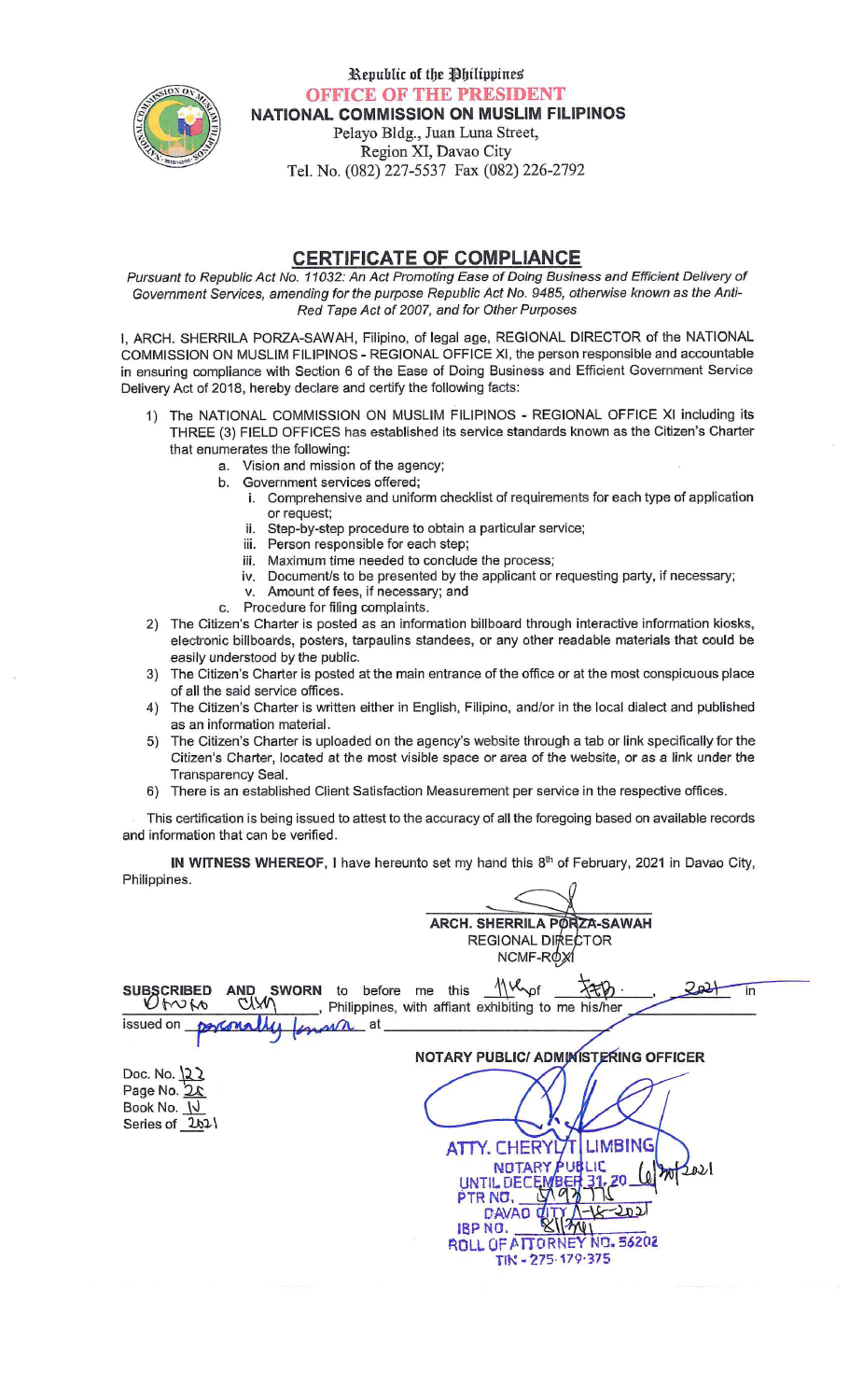

Republic of the Philippines **OFFICE OF THE PRESIDENT** NATIONAL COMMISSION ON MUSLIM FILIPINOS

Pelayo Bldg., Juan Luna Street, Region XI, Davao City Tel. No. (082) 227-5537 Fax (082) 226-2792

#### **CERTIFICATE OF COMPLIANCE**

Pursuant to Republic Act No. 11032: An Act Promoting Ease of Doing Business and Efficient Delivery of Government Services, amending for the purpose Republic Act No. 9485, otherwise known as the Anti-Red Tape Act of 2007, and for Other Purposes

I, ARCH. SHERRILA PORZA-SAWAH, Filipino, of legal age, REGIONAL DIRECTOR of the NATIONAL COMMISSION ON MUSLIM FILIPINOS - REGIONAL OFFICE XI, the person responsible and accountable in ensuring compliance with Section 6 of the Ease of Doing Business and Efficient Government Service Delivery Act of 2018, hereby declare and certify the following facts:

- 1) The NATIONAL COMMISSION ON MUSLIM FILIPINOS REGIONAL OFFICE XI including its THREE (3) FIELD OFFICES has established its service standards known as the Citizen's Charter that enumerates the following:
	- a. Vision and mission of the agency;
	- b. Government services offered;
		- i. Comprehensive and uniform checklist of requirements for each type of application or request;
		- ii. Step-by-step procedure to obtain a particular service;
		- iii. Person responsible for each step;
		- iii. Maximum time needed to conclude the process;
		- iv. Document/s to be presented by the applicant or requesting party, if necessary;
		- v. Amount of fees, if necessary; and
	- Procedure for filing complaints.  $\mathbf{C}$
- 2) The Citizen's Charter is posted as an information billboard through interactive information kiosks, electronic billboards, posters, tarpaulins standees, or any other readable materials that could be easily understood by the public.
- 3) The Citizen's Charter is posted at the main entrance of the office or at the most conspicuous place of all the said service offices.
- 4) The Citizen's Charter is written either in English, Filipino, and/or in the local dialect and published as an information material.
- 5) The Citizen's Charter is uploaded on the agency's website through a tab or link specifically for the Citizen's Charter, located at the most visible space or area of the website, or as a link under the Transparency Seal.
- 6) There is an established Client Satisfaction Measurement per service in the respective offices.

This certification is being issued to attest to the accuracy of all the foregoing based on available records and information that can be verified.

IN WITNESS WHEREOF, I have hereunto set my hand this 8<sup>th</sup> of February, 2021 in Davao City, Philippines.  $\theta$ 

|                                                             | <b>ARCH. SHERRILA PORZA-SAWAH</b><br>REGIONAL DIRECTOR                                                                                                                 |
|-------------------------------------------------------------|------------------------------------------------------------------------------------------------------------------------------------------------------------------------|
|                                                             | NCMF-ROY<br>Mulpf<br>SUBSCRIBED AND SWORN to before me this<br>Ut^Of\to CUXV\, Philippines with affiant<br>in<br>_, Philippines, with affiant exhibiting to me his/her |
| issued on porconally                                        | forman at                                                                                                                                                              |
|                                                             | NOTARY PUBLIC/ ADMINISTERING OFFICER                                                                                                                                   |
| Doc. No. $22$<br>Page No. 2x<br>Book No. N<br>Series of 2b2 | LIMBING<br><b>ATTY. CHERYL</b>                                                                                                                                         |
|                                                             | NOTARY PUBLIC<br>UNTIL DECEMBER 31.20 (0) M/2021<br>PTR NO.<br><b>DAVAO</b><br>IBP NO.<br>ROLL OF ATTORNEY NO. 56202<br>TIN-275-179-375                                |
|                                                             |                                                                                                                                                                        |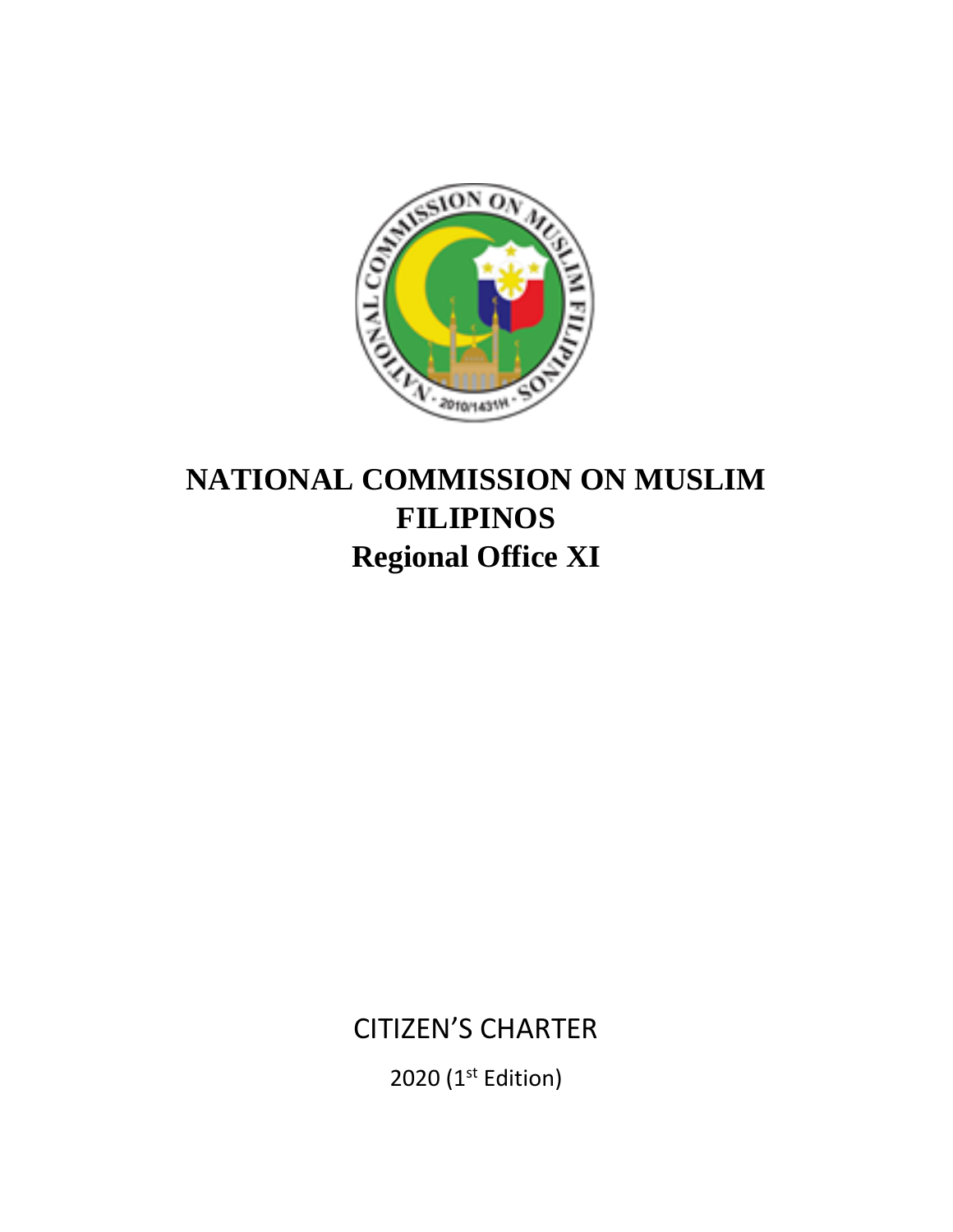

# **NATIONAL COMMISSION ON MUSLIM FILIPINOS Regional Office XI**

CITIZEN'S CHARTER

2020 (1<sup>st</sup> Edition)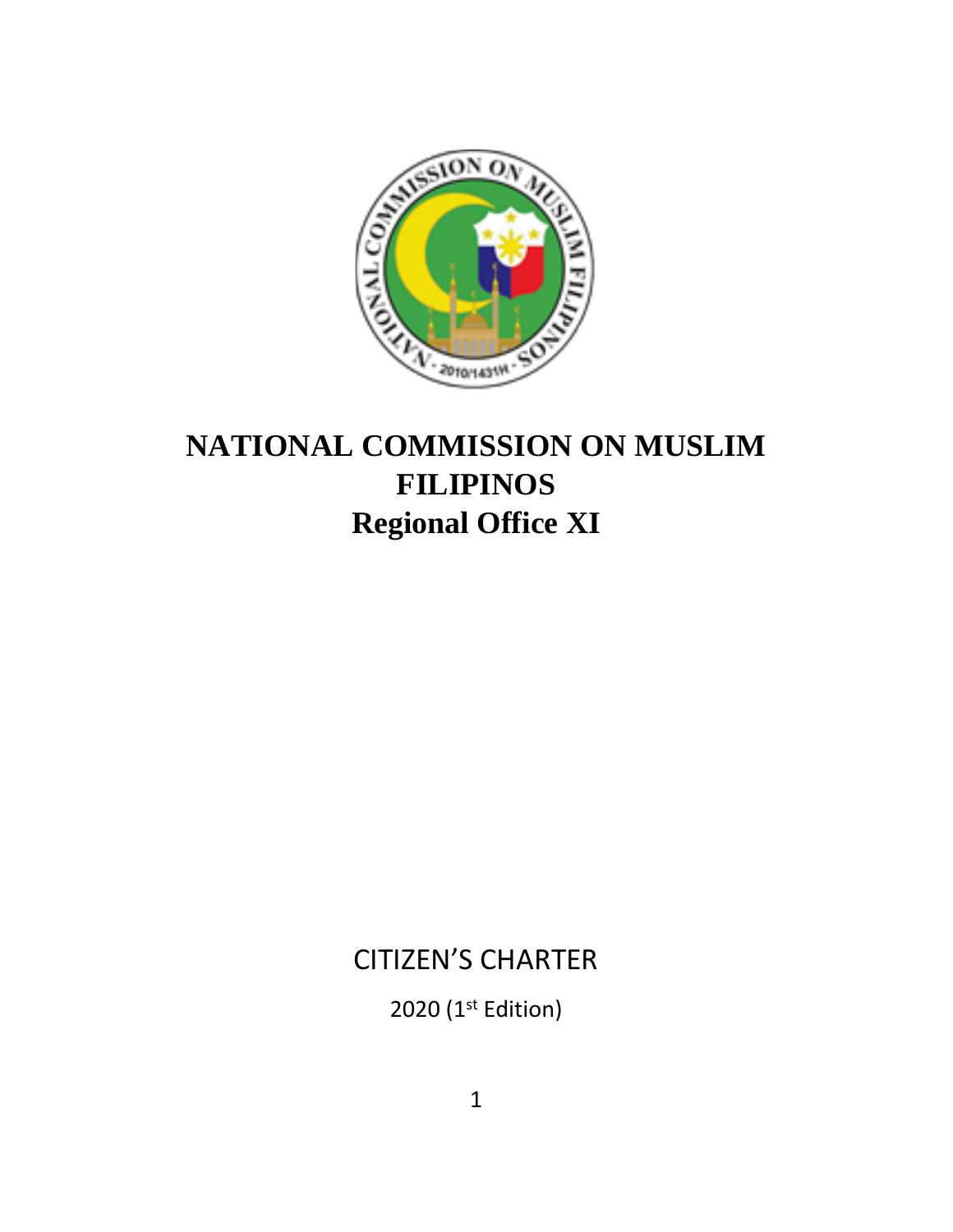

# **NATIONAL COMMISSION ON MUSLIM FILIPINOS Regional Office XI**

## CITIZEN'S CHARTER

2020 (1<sup>st</sup> Edition)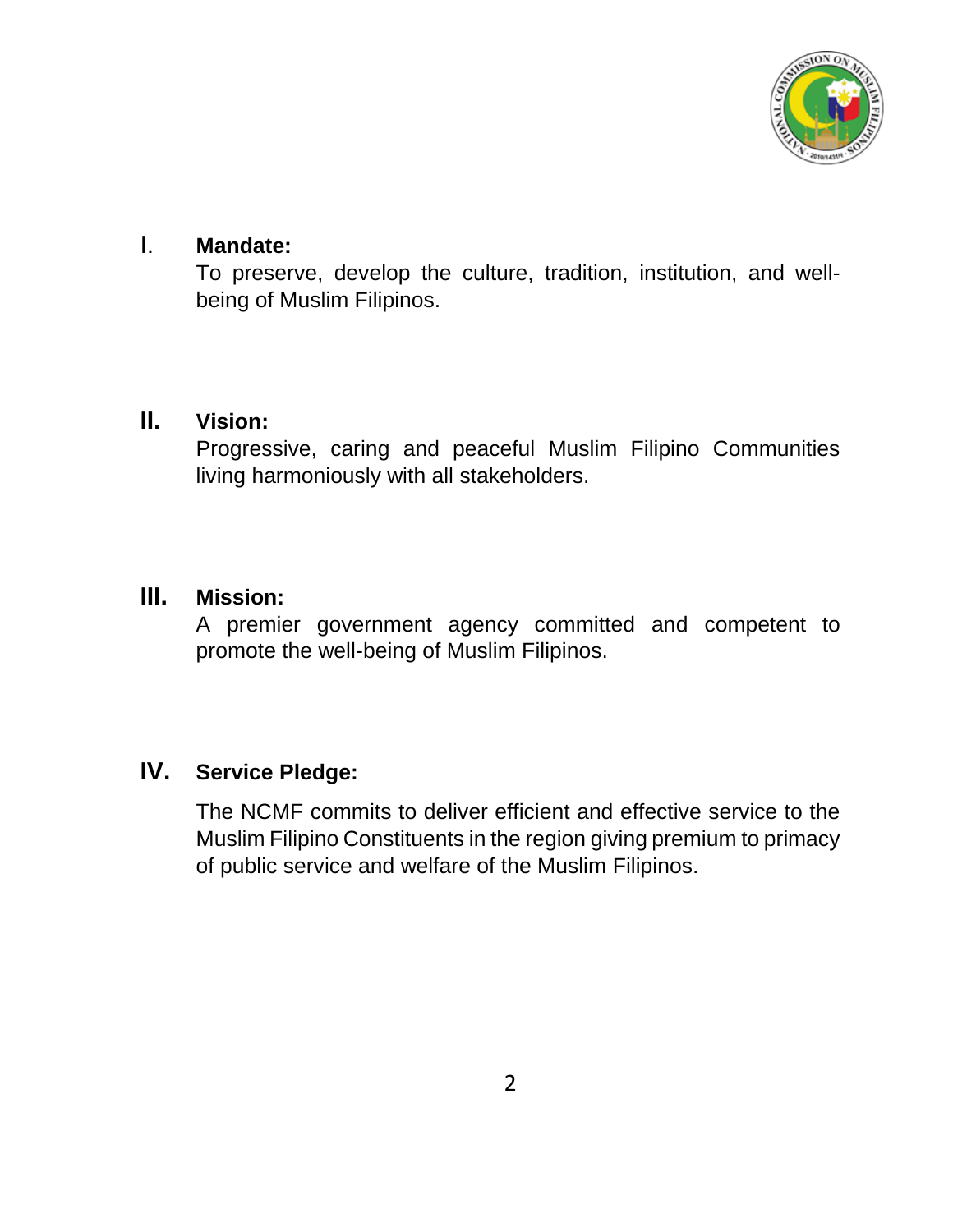

### I. **Mandate:**

To preserve, develop the culture, tradition, institution, and wellbeing of Muslim Filipinos.

### **II. Vision:**

Progressive, caring and peaceful Muslim Filipino Communities living harmoniously with all stakeholders.

### **III. Mission:**

A premier government agency committed and competent to promote the well-being of Muslim Filipinos.

### **IV. Service Pledge:**

The NCMF commits to deliver efficient and effective service to the Muslim Filipino Constituents in the region giving premium to primacy of public service and welfare of the Muslim Filipinos.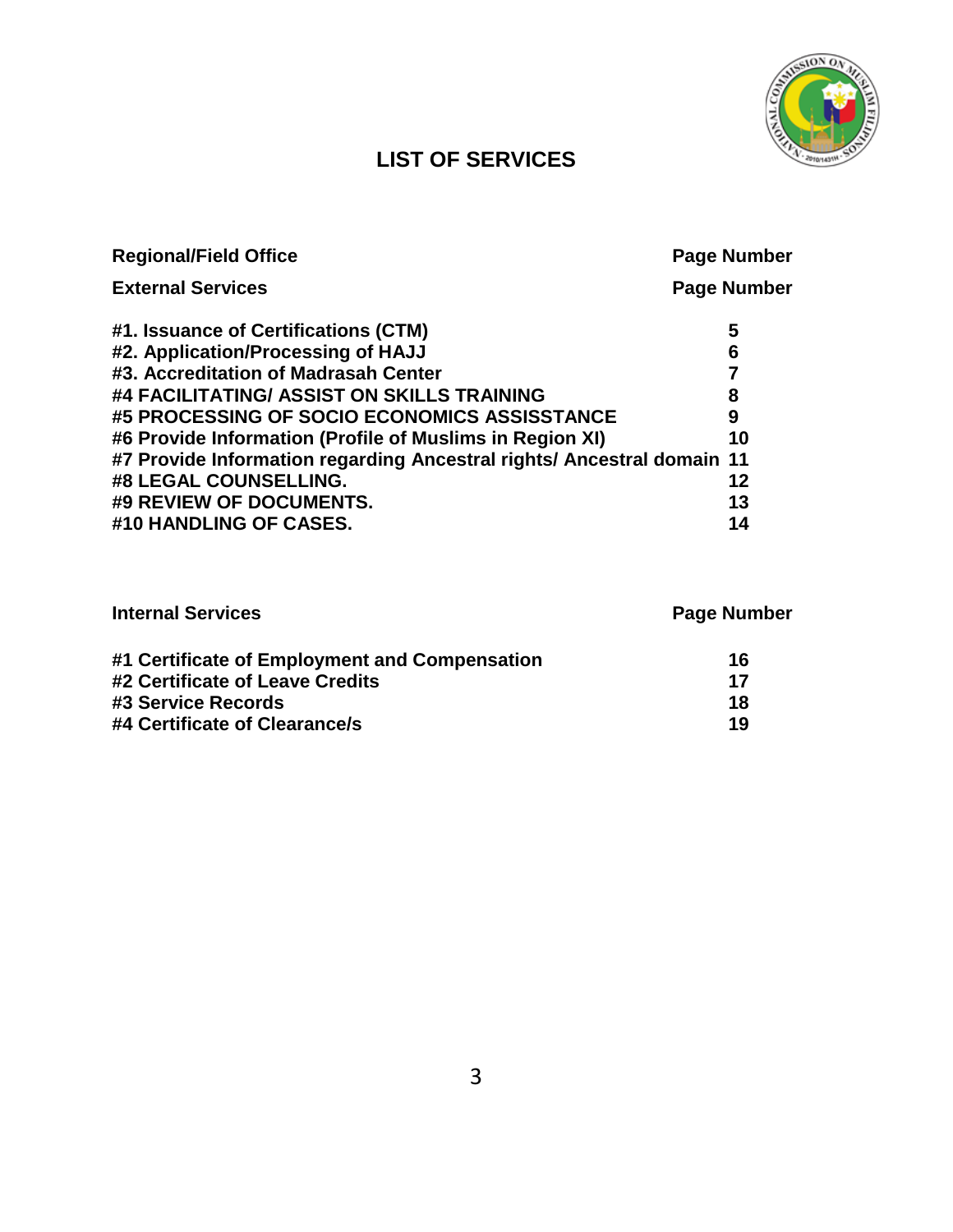

## **LIST OF SERVICES**

| <b>Regional/Field Office</b>                                           | <b>Page Number</b> |
|------------------------------------------------------------------------|--------------------|
| <b>External Services</b>                                               | <b>Page Number</b> |
| #1. Issuance of Certifications (CTM)                                   | 5                  |
| #2. Application/Processing of HAJJ                                     | 6                  |
| #3. Accreditation of Madrasah Center                                   |                    |
| #4 FACILITATING/ ASSIST ON SKILLS TRAINING                             | 8                  |
| #5 PROCESSING OF SOCIO ECONOMICS ASSISSTANCE                           | 9                  |
| #6 Provide Information (Profile of Muslims in Region XI)               | 10                 |
| #7 Provide Information regarding Ancestral rights/ Ancestral domain 11 |                    |
| #8 LEGAL COUNSELLING.                                                  | 12                 |
| #9 REVIEW OF DOCUMENTS.                                                | 13                 |
| #10 HANDLING OF CASES.                                                 | 14                 |

| <b>Internal Services</b>                      | <b>Page Number</b> |  |
|-----------------------------------------------|--------------------|--|
| #1 Certificate of Employment and Compensation | 16                 |  |
| #2 Certificate of Leave Credits               | 17                 |  |
| #3 Service Records                            | 18                 |  |
| #4 Certificate of Clearance/s                 | 19                 |  |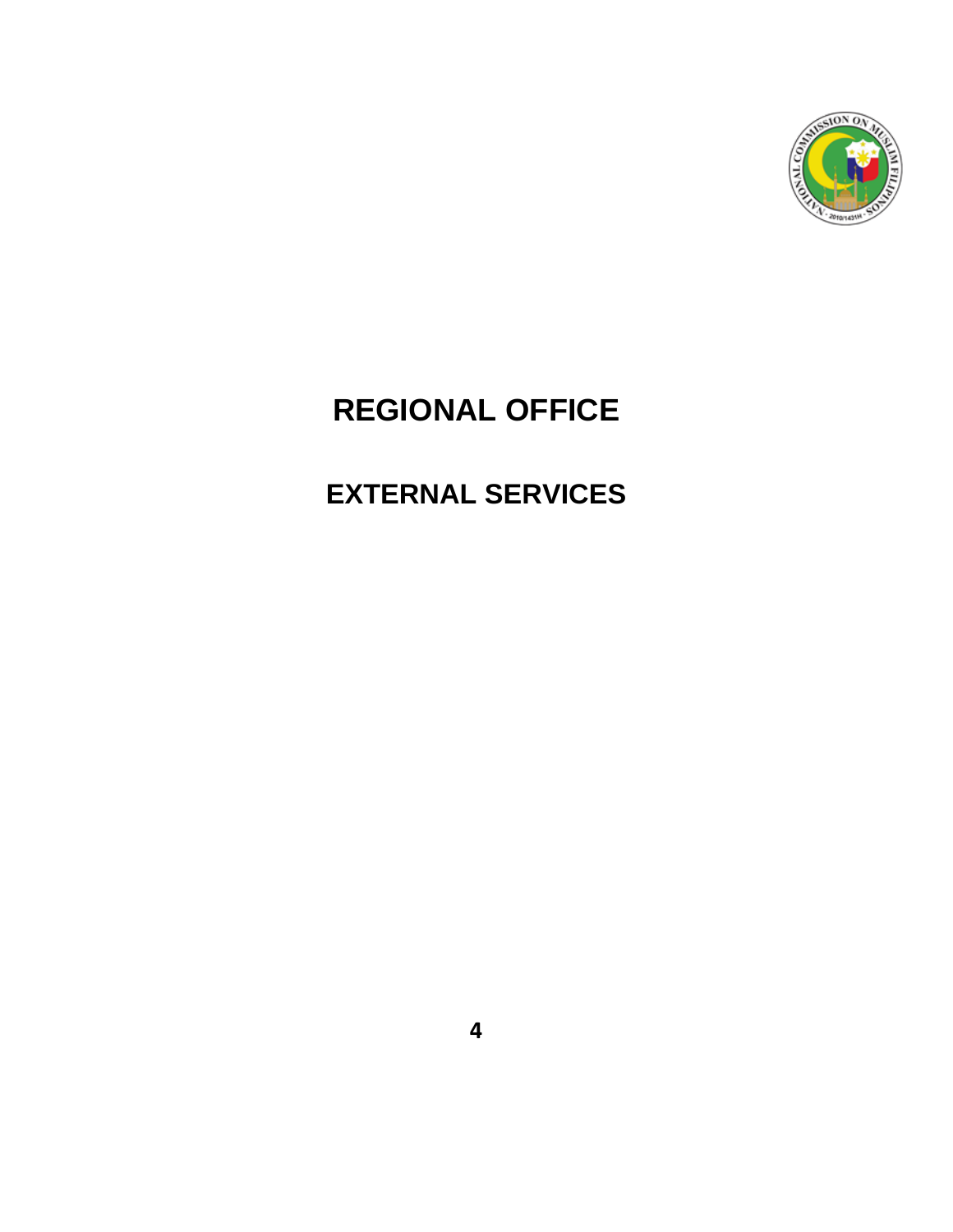

# **REGIONAL OFFICE**

# **EXTERNAL SERVICES**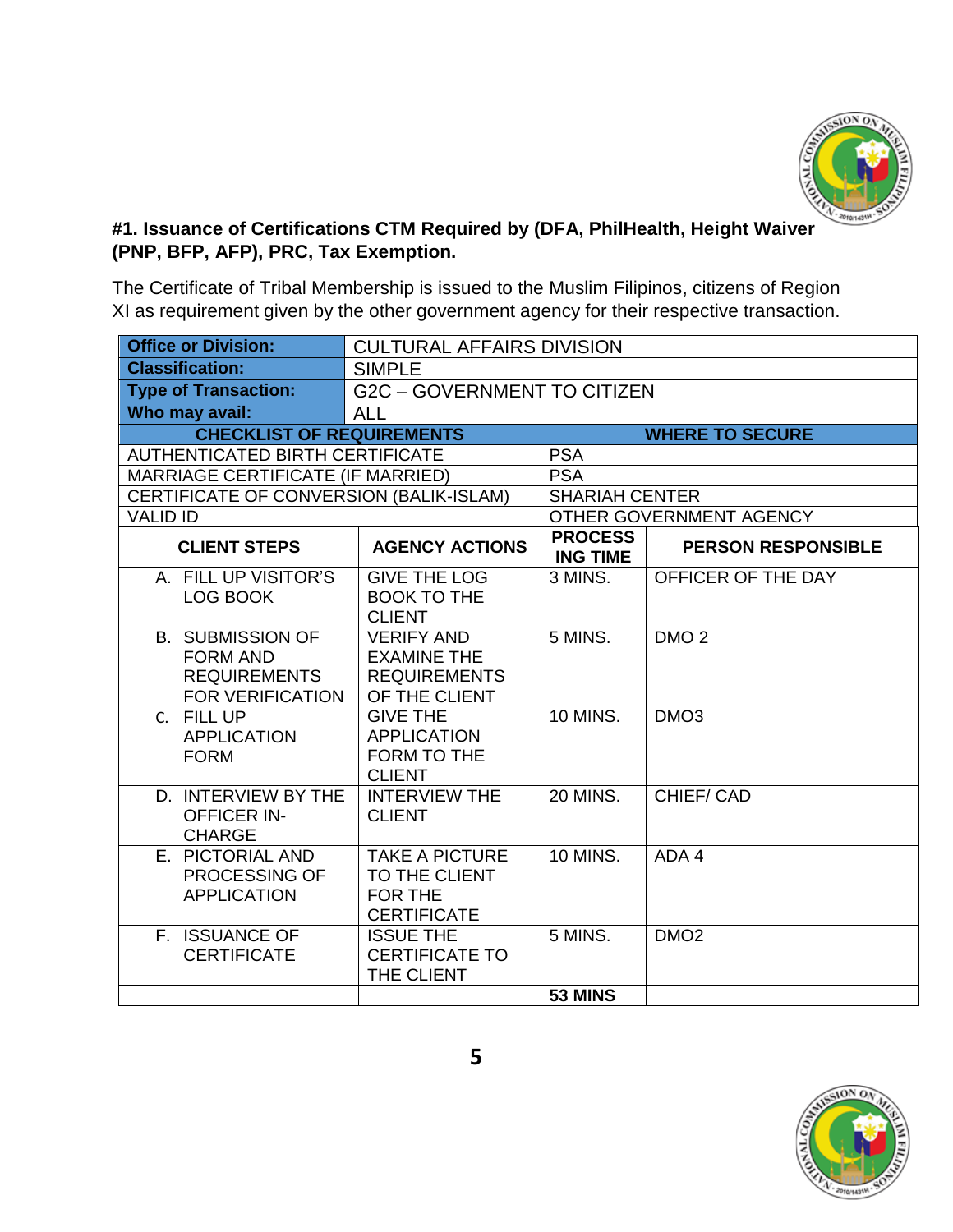

#### **#1. Issuance of Certifications CTM Required by (DFA, PhilHealth, Height Waiver (PNP, BFP, AFP), PRC, Tax Exemption.**

The Certificate of Tribal Membership is issued to the Muslim Filipinos, citizens of Region XI as requirement given by the other government agency for their respective transaction.

| <b>Office or Division:</b>                                                                   | <b>CULTURAL AFFAIRS DIVISION</b>                                                |                                   |                           |
|----------------------------------------------------------------------------------------------|---------------------------------------------------------------------------------|-----------------------------------|---------------------------|
| <b>Classification:</b>                                                                       | <b>SIMPLE</b>                                                                   |                                   |                           |
| <b>Type of Transaction:</b>                                                                  | <b>G2C - GOVERNMENT TO CITIZEN</b>                                              |                                   |                           |
| Who may avail:                                                                               | <b>ALL</b>                                                                      |                                   |                           |
| <b>CHECKLIST OF REQUIREMENTS</b>                                                             |                                                                                 |                                   | <b>WHERE TO SECURE</b>    |
| <b>AUTHENTICATED BIRTH CERTIFICATE</b>                                                       |                                                                                 | <b>PSA</b>                        |                           |
| <b>MARRIAGE CERTIFICATE (IF MARRIED)</b>                                                     |                                                                                 | <b>PSA</b>                        |                           |
| CERTIFICATE OF CONVERSION (BALIK-ISLAM)                                                      |                                                                                 | <b>SHARIAH CENTER</b>             |                           |
| <b>VALID ID</b>                                                                              |                                                                                 |                                   | OTHER GOVERNMENT AGENCY   |
| <b>CLIENT STEPS</b>                                                                          | <b>AGENCY ACTIONS</b>                                                           | <b>PROCESS</b><br><b>ING TIME</b> | <b>PERSON RESPONSIBLE</b> |
| A. FILL UP VISITOR'S<br>LOG BOOK                                                             | <b>GIVE THE LOG</b><br><b>BOOK TO THE</b><br><b>CLIENT</b>                      | 3 MINS.                           | OFFICER OF THE DAY        |
| <b>B. SUBMISSION OF</b><br><b>FORM AND</b><br><b>REQUIREMENTS</b><br><b>FOR VERIFICATION</b> | <b>VERIFY AND</b><br><b>EXAMINE THE</b><br><b>REQUIREMENTS</b><br>OF THE CLIENT | 5 MINS.                           | DMO <sub>2</sub>          |
| C. FILL UP<br><b>APPLICATION</b><br><b>FORM</b>                                              | <b>GIVE THE</b><br><b>APPLICATION</b><br><b>FORM TO THE</b><br><b>CLIENT</b>    | <b>10 MINS.</b>                   | DMO <sub>3</sub>          |
| D. INTERVIEW BY THE<br><b>OFFICER IN-</b><br><b>CHARGE</b>                                   | <b>INTERVIEW THE</b><br><b>CLIENT</b>                                           | <b>20 MINS.</b>                   | CHIEF/CAD                 |
| E. PICTORIAL AND<br>PROCESSING OF<br><b>APPLICATION</b>                                      | <b>TAKE A PICTURE</b><br>TO THE CLIENT<br>FOR THE<br><b>CERTIFICATE</b>         | <b>10 MINS.</b>                   | ADA 4                     |
| F. ISSUANCE OF<br><b>CERTIFICATE</b>                                                         | <b>ISSUE THE</b><br><b>CERTIFICATE TO</b><br>THE CLIENT                         | 5 MINS.                           | DMO <sub>2</sub>          |
|                                                                                              |                                                                                 | 53 MINS                           |                           |

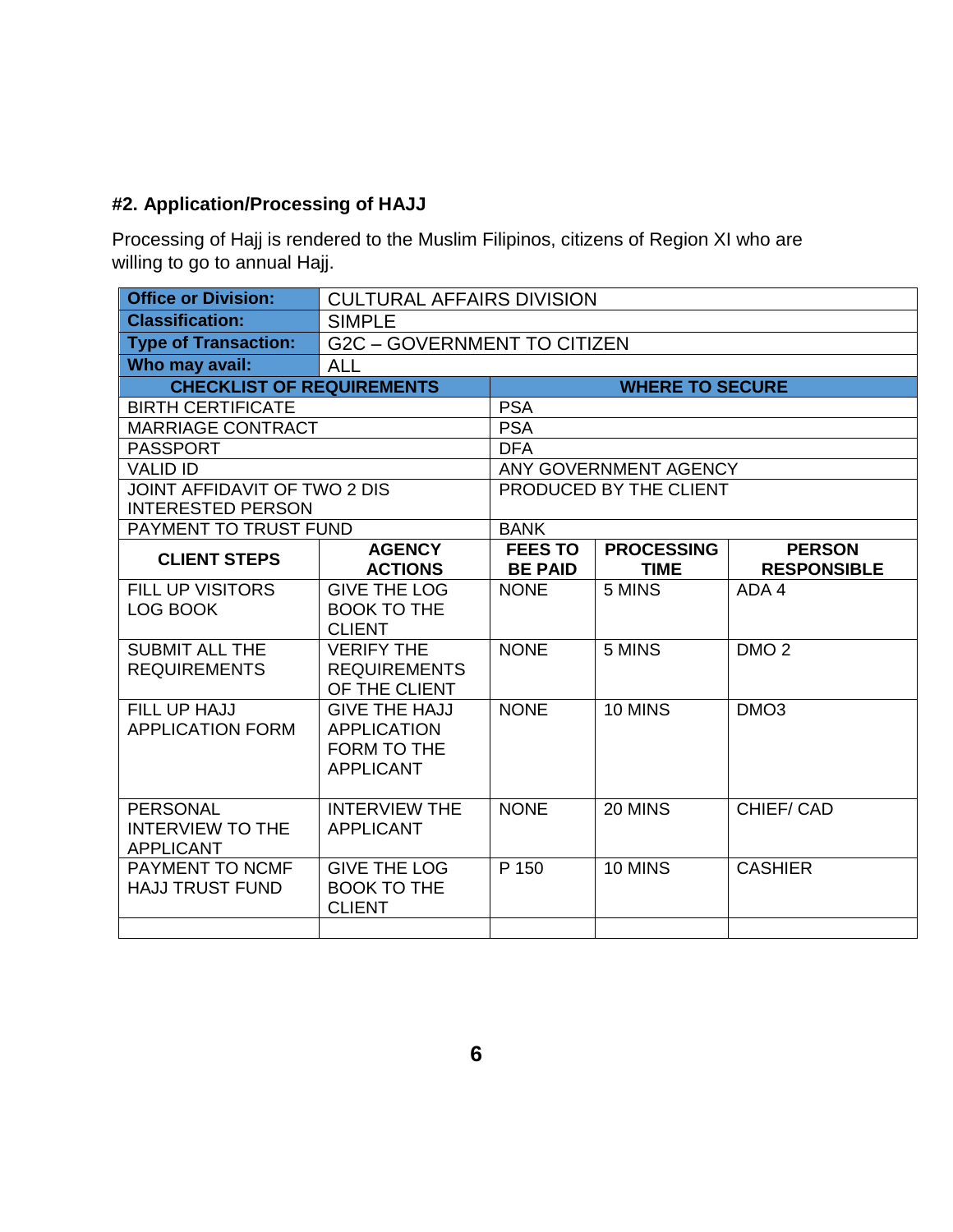#### **#2. Application/Processing of HAJJ**

Processing of Hajj is rendered to the Muslim Filipinos, citizens of Region XI who are willing to go to annual Hajj.

| <b>Office or Division:</b>                                        | <b>CULTURAL AFFAIRS DIVISION</b>         |                |                        |                    |  |
|-------------------------------------------------------------------|------------------------------------------|----------------|------------------------|--------------------|--|
| <b>Classification:</b>                                            | <b>SIMPLE</b>                            |                |                        |                    |  |
| <b>Type of Transaction:</b><br><b>G2C - GOVERNMENT TO CITIZEN</b> |                                          |                |                        |                    |  |
| Who may avail:                                                    | <b>ALL</b>                               |                |                        |                    |  |
| <b>CHECKLIST OF REQUIREMENTS</b>                                  |                                          |                | <b>WHERE TO SECURE</b> |                    |  |
| <b>BIRTH CERTIFICATE</b>                                          |                                          | <b>PSA</b>     |                        |                    |  |
| <b>MARRIAGE CONTRACT</b>                                          |                                          | <b>PSA</b>     |                        |                    |  |
| <b>PASSPORT</b>                                                   |                                          | <b>DFA</b>     |                        |                    |  |
| <b>VALID ID</b>                                                   |                                          |                | ANY GOVERNMENT AGENCY  |                    |  |
| JOINT AFFIDAVIT OF TWO 2 DIS                                      |                                          |                | PRODUCED BY THE CLIENT |                    |  |
| <b>INTERESTED PERSON</b>                                          |                                          |                |                        |                    |  |
| PAYMENT TO TRUST FUND                                             |                                          | <b>BANK</b>    |                        |                    |  |
| <b>CLIENT STEPS</b>                                               | <b>AGENCY</b>                            | <b>FEES TO</b> | <b>PROCESSING</b>      | <b>PERSON</b>      |  |
|                                                                   | <b>ACTIONS</b>                           | <b>BE PAID</b> | <b>TIME</b>            | <b>RESPONSIBLE</b> |  |
| <b>FILL UP VISITORS</b>                                           | <b>GIVE THE LOG</b>                      | <b>NONE</b>    | 5 MINS                 | ADA 4              |  |
| LOG BOOK                                                          | <b>BOOK TO THE</b>                       |                |                        |                    |  |
|                                                                   | <b>CLIENT</b>                            |                |                        |                    |  |
| <b>SUBMIT ALL THE</b>                                             | <b>VERIFY THE</b>                        | <b>NONE</b>    | 5 MINS                 | DMO <sub>2</sub>   |  |
| <b>REQUIREMENTS</b>                                               | <b>REQUIREMENTS</b>                      |                |                        |                    |  |
|                                                                   | OF THE CLIENT                            |                |                        |                    |  |
| FILL UP HAJJ                                                      | <b>GIVE THE HAJJ</b>                     | <b>NONE</b>    | 10 MINS                | DMO <sub>3</sub>   |  |
| <b>APPLICATION FORM</b>                                           | <b>APPLICATION</b>                       |                |                        |                    |  |
|                                                                   | <b>FORM TO THE</b>                       |                |                        |                    |  |
|                                                                   | <b>APPLICANT</b>                         |                |                        |                    |  |
|                                                                   |                                          |                |                        |                    |  |
| <b>PERSONAL</b><br><b>INTERVIEW TO THE</b>                        | <b>INTERVIEW THE</b><br><b>APPLICANT</b> | <b>NONE</b>    | 20 MINS                | CHIEF/CAD          |  |
| <b>APPLICANT</b>                                                  |                                          |                |                        |                    |  |
| PAYMENT TO NCMF                                                   | <b>GIVE THE LOG</b>                      | P 150          | 10 MINS                | <b>CASHIER</b>     |  |
| <b>HAJJ TRUST FUND</b>                                            | <b>BOOK TO THE</b>                       |                |                        |                    |  |
|                                                                   | <b>CLIENT</b>                            |                |                        |                    |  |
|                                                                   |                                          |                |                        |                    |  |
|                                                                   |                                          |                |                        |                    |  |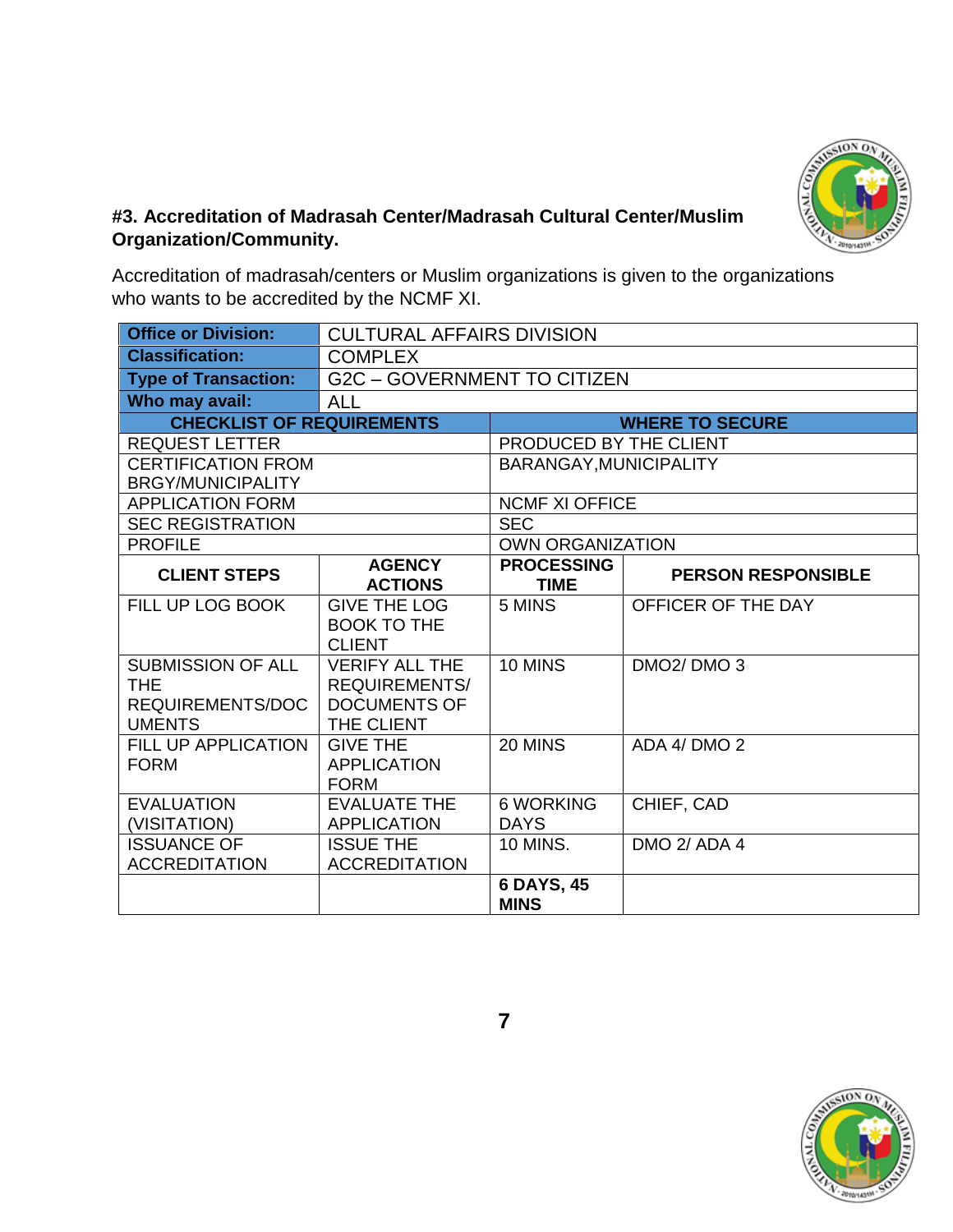

#### **#3. Accreditation of Madrasah Center/Madrasah Cultural Center/Muslim Organization/Community.**

Accreditation of madrasah/centers or Muslim organizations is given to the organizations who wants to be accredited by the NCMF XI.

| <b>Office or Division:</b>                                                  | <b>CULTURAL AFFAIRS DIVISION</b>                                                   |                                  |                                    |
|-----------------------------------------------------------------------------|------------------------------------------------------------------------------------|----------------------------------|------------------------------------|
| <b>Classification:</b>                                                      | <b>COMPLEX</b>                                                                     |                                  |                                    |
| <b>Type of Transaction:</b>                                                 | <b>G2C - GOVERNMENT TO CITIZEN</b>                                                 |                                  |                                    |
| Who may avail:                                                              | <b>ALL</b>                                                                         |                                  |                                    |
| <b>CHECKLIST OF REQUIREMENTS</b>                                            |                                                                                    |                                  | <b>WHERE TO SECURE</b>             |
| <b>REQUEST LETTER</b>                                                       |                                                                                    | PRODUCED BY THE CLIENT           |                                    |
| <b>CERTIFICATION FROM</b>                                                   |                                                                                    | BARANGAY, MUNICIPALITY           |                                    |
| <b>BRGY/MUNICIPALITY</b>                                                    |                                                                                    |                                  |                                    |
| <b>APPLICATION FORM</b>                                                     |                                                                                    | <b>NCMF XI OFFICE</b>            |                                    |
| <b>SEC REGISTRATION</b>                                                     |                                                                                    | <b>SEC</b>                       |                                    |
| <b>PROFILE</b>                                                              |                                                                                    | <b>OWN ORGANIZATION</b>          |                                    |
| <b>CLIENT STEPS</b>                                                         | <b>AGENCY</b><br><b>ACTIONS</b>                                                    | <b>PROCESSING</b><br><b>TIME</b> | <b>PERSON RESPONSIBLE</b>          |
| FILL UP LOG BOOK                                                            | <b>GIVE THE LOG</b><br><b>BOOK TO THE</b><br><b>CLIENT</b>                         | 5 MINS                           | OFFICER OF THE DAY                 |
| <b>SUBMISSION OF ALL</b><br><b>THE</b><br>REQUIREMENTS/DOC<br><b>UMENTS</b> | <b>VERIFY ALL THE</b><br><b>REQUIREMENTS/</b><br><b>DOCUMENTS OF</b><br>THE CLIENT | 10 MINS                          | DMO <sub>2</sub> /DMO <sub>3</sub> |
| <b>FILL UP APPLICATION</b><br><b>FORM</b>                                   | <b>GIVE THE</b><br><b>APPLICATION</b><br><b>FORM</b>                               | 20 MINS                          | ADA 4/ DMO 2                       |
| <b>EVALUATION</b><br>(VISITATION)                                           | <b>EVALUATE THE</b><br><b>APPLICATION</b>                                          | <b>6 WORKING</b><br><b>DAYS</b>  | CHIEF, CAD                         |
| <b>ISSUANCE OF</b><br><b>ACCREDITATION</b>                                  | <b>ISSUE THE</b><br><b>ACCREDITATION</b>                                           | <b>10 MINS.</b>                  | <b>DMO 2/ ADA 4</b>                |
|                                                                             |                                                                                    | 6 DAYS, 45<br><b>MINS</b>        |                                    |

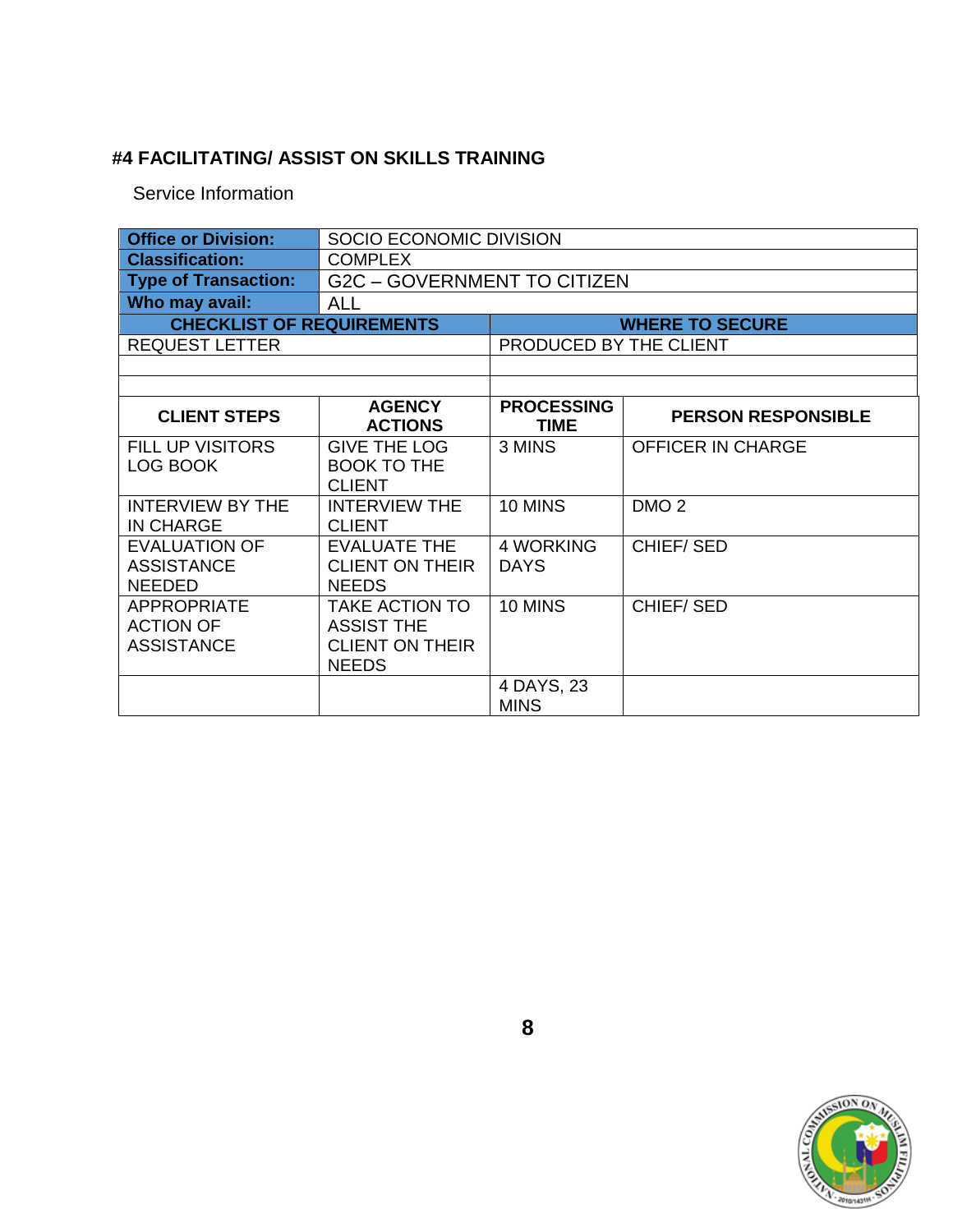#### **#4 FACILITATING/ ASSIST ON SKILLS TRAINING**

Service Information

| <b>Office or Division:</b>                                  | SOCIO ECONOMIC DIVISION                                                       |                                  |                           |  |
|-------------------------------------------------------------|-------------------------------------------------------------------------------|----------------------------------|---------------------------|--|
| <b>Classification:</b>                                      | <b>COMPLEX</b>                                                                |                                  |                           |  |
| <b>Type of Transaction:</b>                                 | <b>G2C - GOVERNMENT TO CITIZEN</b>                                            |                                  |                           |  |
| Who may avail:                                              | <b>ALL</b>                                                                    |                                  |                           |  |
| <b>CHECKLIST OF REQUIREMENTS</b>                            |                                                                               |                                  | <b>WHERE TO SECURE</b>    |  |
| <b>REQUEST LETTER</b>                                       |                                                                               | PRODUCED BY THE CLIENT           |                           |  |
|                                                             |                                                                               |                                  |                           |  |
|                                                             |                                                                               |                                  |                           |  |
| <b>CLIENT STEPS</b>                                         | <b>AGENCY</b><br><b>ACTIONS</b>                                               | <b>PROCESSING</b><br><b>TIME</b> | <b>PERSON RESPONSIBLE</b> |  |
| <b>FILL UP VISITORS</b><br>LOG BOOK                         | <b>GIVE THE LOG</b><br><b>BOOK TO THE</b><br><b>CLIENT</b>                    | 3 MINS                           | <b>OFFICER IN CHARGE</b>  |  |
| <b>INTERVIEW BY THE</b><br><b>IN CHARGE</b>                 | <b>INTERVIEW THE</b><br><b>CLIENT</b>                                         | 10 MINS                          | DMO <sub>2</sub>          |  |
| <b>EVALUATION OF</b><br><b>ASSISTANCE</b><br><b>NEEDED</b>  | <b>EVALUATE THE</b><br><b>CLIENT ON THEIR</b><br><b>NEEDS</b>                 | 4 WORKING<br><b>DAYS</b>         | <b>CHIEF/SED</b>          |  |
| <b>APPROPRIATE</b><br><b>ACTION OF</b><br><b>ASSISTANCE</b> | TAKE ACTION TO<br><b>ASSIST THE</b><br><b>CLIENT ON THEIR</b><br><b>NEEDS</b> | 10 MINS                          | <b>CHIEF/SED</b>          |  |
|                                                             |                                                                               | 4 DAYS, 23<br><b>MINS</b>        |                           |  |

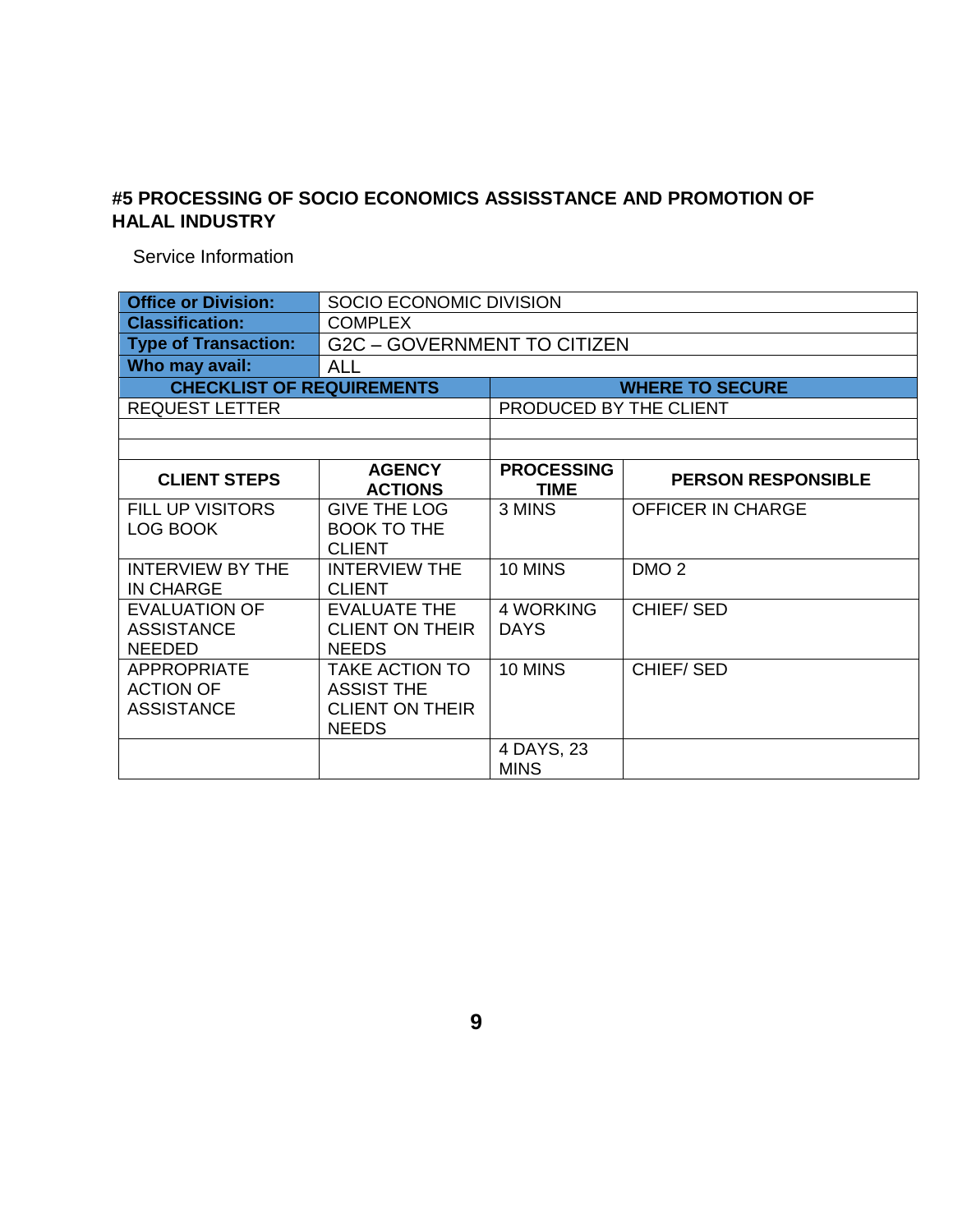#### **#5 PROCESSING OF SOCIO ECONOMICS ASSISSTANCE AND PROMOTION OF HALAL INDUSTRY**

Service Information

| <b>Office or Division:</b>                                  | SOCIO ECONOMIC DIVISION                                                              |                                  |                           |  |
|-------------------------------------------------------------|--------------------------------------------------------------------------------------|----------------------------------|---------------------------|--|
| <b>Classification:</b>                                      | <b>COMPLEX</b>                                                                       |                                  |                           |  |
| <b>Type of Transaction:</b>                                 | <b>G2C - GOVERNMENT TO CITIZEN</b>                                                   |                                  |                           |  |
| Who may avail:                                              | <b>ALL</b>                                                                           |                                  |                           |  |
| <b>CHECKLIST OF REQUIREMENTS</b>                            |                                                                                      |                                  | <b>WHERE TO SECURE</b>    |  |
| <b>REQUEST LETTER</b>                                       |                                                                                      | PRODUCED BY THE CLIENT           |                           |  |
|                                                             |                                                                                      |                                  |                           |  |
|                                                             |                                                                                      |                                  |                           |  |
| <b>CLIENT STEPS</b>                                         | <b>AGENCY</b><br><b>ACTIONS</b>                                                      | <b>PROCESSING</b><br><b>TIME</b> | <b>PERSON RESPONSIBLE</b> |  |
| <b>FILL UP VISITORS</b><br>LOG BOOK                         | <b>GIVE THE LOG</b><br><b>BOOK TO THE</b><br><b>CLIENT</b>                           | 3 MINS                           | <b>OFFICER IN CHARGE</b>  |  |
| <b>INTERVIEW BY THE</b><br><b>IN CHARGE</b>                 | <b>INTERVIEW THE</b><br><b>CLIENT</b>                                                | 10 MINS                          | DMO <sub>2</sub>          |  |
| <b>EVALUATION OF</b><br><b>ASSISTANCE</b><br><b>NEEDED</b>  | <b>EVALUATE THE</b><br><b>CLIENT ON THEIR</b><br><b>NEEDS</b>                        | <b>4 WORKING</b><br><b>DAYS</b>  | <b>CHIEF/SED</b>          |  |
| <b>APPROPRIATE</b><br><b>ACTION OF</b><br><b>ASSISTANCE</b> | <b>TAKE ACTION TO</b><br><b>ASSIST THE</b><br><b>CLIENT ON THEIR</b><br><b>NEEDS</b> | 10 MINS                          | <b>CHIEF/SED</b>          |  |
|                                                             |                                                                                      | 4 DAYS, 23<br><b>MINS</b>        |                           |  |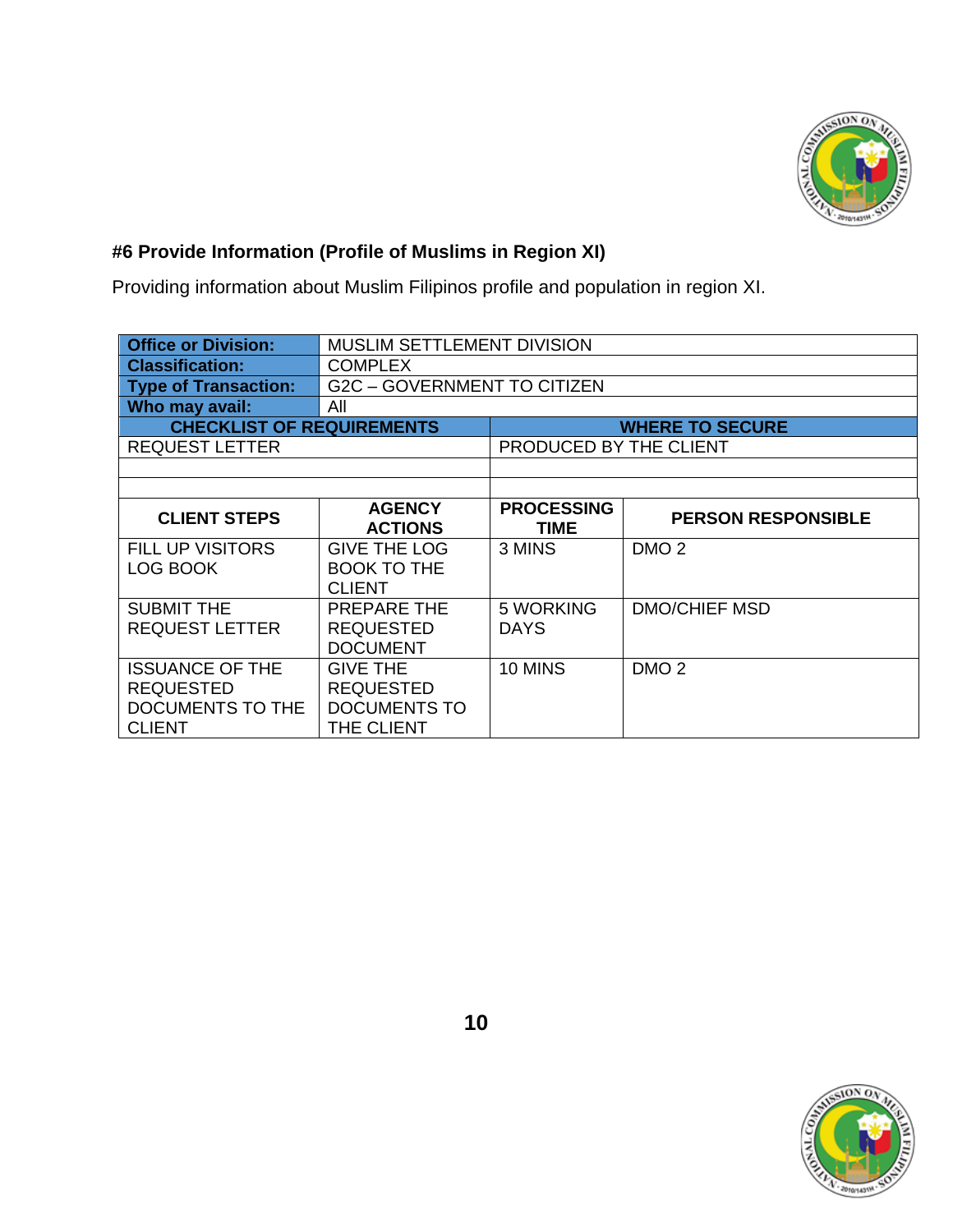

### **#6 Provide Information (Profile of Muslims in Region XI)**

Providing information about Muslim Filipinos profile and population in region XI.

| <b>Office or Division:</b>                                                      | MUSLIM SETTLEMENT DIVISION                                        |                                  |                           |  |
|---------------------------------------------------------------------------------|-------------------------------------------------------------------|----------------------------------|---------------------------|--|
| <b>Classification:</b>                                                          | <b>COMPLEX</b>                                                    |                                  |                           |  |
| <b>Type of Transaction:</b>                                                     | G2C – GOVERNMENT TO CITIZEN                                       |                                  |                           |  |
| Who may avail:                                                                  | All                                                               |                                  |                           |  |
| <b>CHECKLIST OF REQUIREMENTS</b>                                                |                                                                   |                                  | <b>WHERE TO SECURE</b>    |  |
| <b>REQUEST LETTER</b>                                                           |                                                                   | PRODUCED BY THE CLIENT           |                           |  |
|                                                                                 |                                                                   |                                  |                           |  |
|                                                                                 |                                                                   |                                  |                           |  |
| <b>CLIENT STEPS</b>                                                             | <b>AGENCY</b><br><b>ACTIONS</b>                                   | <b>PROCESSING</b><br><b>TIME</b> | <b>PERSON RESPONSIBLE</b> |  |
| <b>FILL UP VISITORS</b><br>LOG BOOK                                             | <b>GIVE THE LOG</b><br><b>BOOK TO THE</b><br><b>CLIENT</b>        | 3 MINS                           | DMO <sub>2</sub>          |  |
| <b>SUBMIT THE</b><br><b>REQUEST LETTER</b>                                      | <b>PREPARE THE</b><br><b>REQUESTED</b><br><b>DOCUMENT</b>         | 5 WORKING<br><b>DAYS</b>         | <b>DMO/CHIEF MSD</b>      |  |
| <b>ISSUANCE OF THE</b><br><b>REQUESTED</b><br>DOCUMENTS TO THE<br><b>CLIENT</b> | <b>GIVE THE</b><br><b>REQUESTED</b><br>DOCUMENTS TO<br>THE CLIENT | 10 MINS                          | DMO <sub>2</sub>          |  |

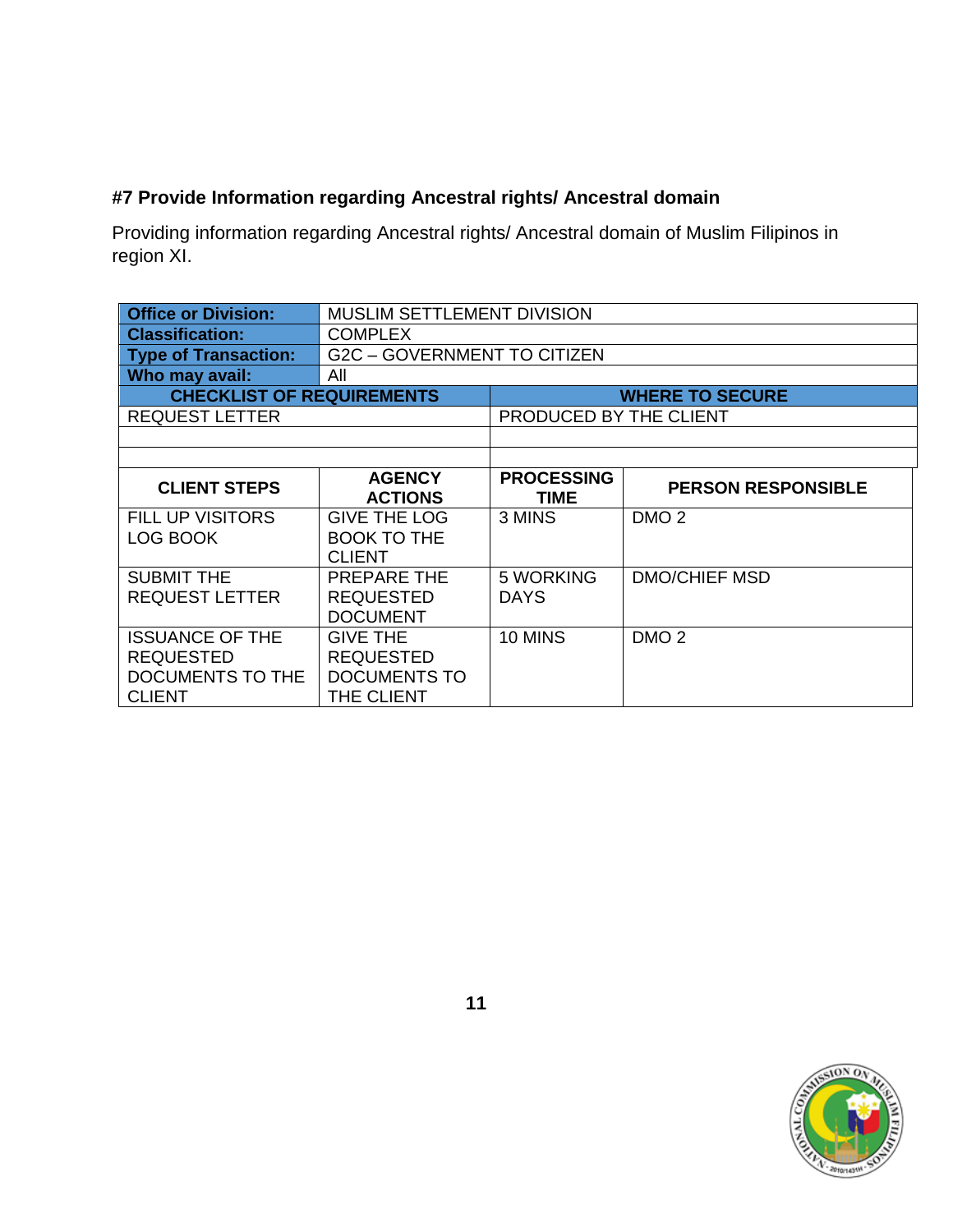#### **#7 Provide Information regarding Ancestral rights/ Ancestral domain**

Providing information regarding Ancestral rights/ Ancestral domain of Muslim Filipinos in region XI.

| <b>Office or Division:</b>                                                      | <b>MUSLIM SETTLEMENT DIVISION</b>                                 |                                  |                           |  |
|---------------------------------------------------------------------------------|-------------------------------------------------------------------|----------------------------------|---------------------------|--|
| <b>Classification:</b>                                                          | <b>COMPLEX</b>                                                    |                                  |                           |  |
| <b>Type of Transaction:</b>                                                     | <b>G2C - GOVERNMENT TO CITIZEN</b>                                |                                  |                           |  |
| Who may avail:                                                                  | All                                                               |                                  |                           |  |
| <b>CHECKLIST OF REQUIREMENTS</b>                                                |                                                                   |                                  | <b>WHERE TO SECURE</b>    |  |
| <b>REQUEST LETTER</b>                                                           |                                                                   | PRODUCED BY THE CLIENT           |                           |  |
|                                                                                 |                                                                   |                                  |                           |  |
|                                                                                 |                                                                   |                                  |                           |  |
| <b>CLIENT STEPS</b>                                                             | <b>AGENCY</b><br><b>ACTIONS</b>                                   | <b>PROCESSING</b><br><b>TIME</b> | <b>PERSON RESPONSIBLE</b> |  |
| <b>FILL UP VISITORS</b><br>LOG BOOK                                             | <b>GIVE THE LOG</b><br><b>BOOK TO THE</b><br><b>CLIENT</b>        | 3 MINS                           | DMO <sub>2</sub>          |  |
| <b>SUBMIT THE</b><br><b>REQUEST LETTER</b>                                      | PREPARE THE<br><b>REQUESTED</b><br><b>DOCUMENT</b>                | 5 WORKING<br><b>DAYS</b>         | <b>DMO/CHIEF MSD</b>      |  |
| <b>ISSUANCE OF THE</b><br><b>REQUESTED</b><br>DOCUMENTS TO THE<br><b>CLIENT</b> | <b>GIVE THE</b><br><b>REQUESTED</b><br>DOCUMENTS TO<br>THE CLIENT | 10 MINS                          | DMO <sub>2</sub>          |  |

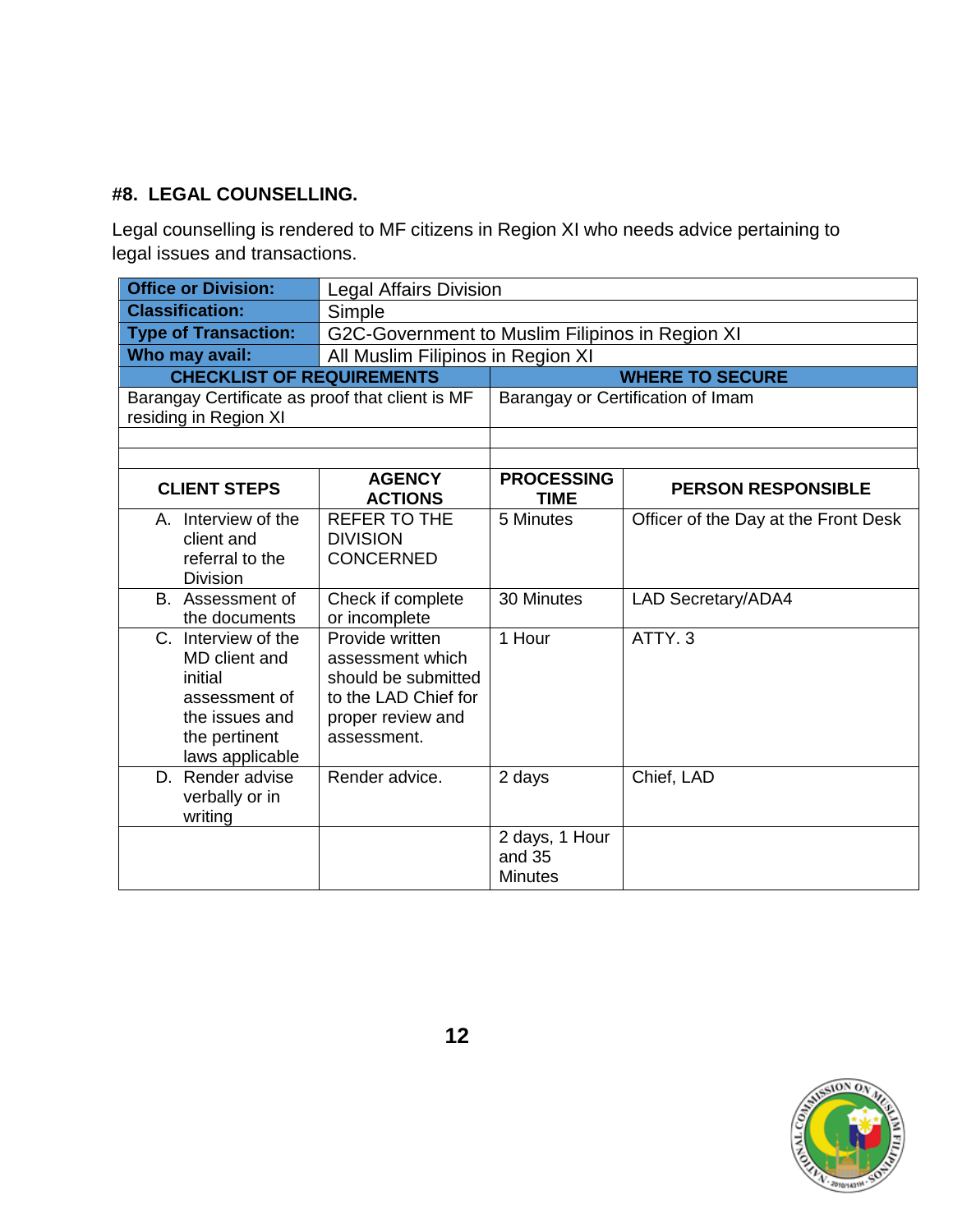#### **#8. LEGAL COUNSELLING.**

Legal counselling is rendered to MF citizens in Region XI who needs advice pertaining to legal issues and transactions.

| <b>Office or Division:</b>                      | <b>Legal Affairs Division</b>                   |                          |                                      |  |
|-------------------------------------------------|-------------------------------------------------|--------------------------|--------------------------------------|--|
| <b>Classification:</b>                          | Simple                                          |                          |                                      |  |
| <b>Type of Transaction:</b>                     | G2C-Government to Muslim Filipinos in Region XI |                          |                                      |  |
| Who may avail:                                  | All Muslim Filipinos in Region XI               |                          |                                      |  |
| <b>CHECKLIST OF REQUIREMENTS</b>                |                                                 |                          | <b>WHERE TO SECURE</b>               |  |
| Barangay Certificate as proof that client is MF |                                                 |                          | Barangay or Certification of Imam    |  |
| residing in Region XI                           |                                                 |                          |                                      |  |
|                                                 |                                                 |                          |                                      |  |
|                                                 | <b>AGENCY</b>                                   | <b>PROCESSING</b>        |                                      |  |
| <b>CLIENT STEPS</b>                             | <b>ACTIONS</b>                                  | <b>TIME</b>              | <b>PERSON RESPONSIBLE</b>            |  |
| A. Interview of the<br>client and               | <b>REFER TO THE</b><br><b>DIVISION</b>          | 5 Minutes                | Officer of the Day at the Front Desk |  |
| referral to the                                 | <b>CONCERNED</b>                                |                          |                                      |  |
| <b>Division</b>                                 |                                                 |                          |                                      |  |
| B. Assessment of                                | Check if complete                               | 30 Minutes               | LAD Secretary/ADA4                   |  |
| the documents                                   | or incomplete                                   |                          |                                      |  |
| C. Interview of the                             | Provide written                                 | 1 Hour                   | ATTY <sub>.3</sub>                   |  |
| MD client and                                   | assessment which                                |                          |                                      |  |
| initial<br>assessment of                        | should be submitted<br>to the LAD Chief for     |                          |                                      |  |
| the issues and                                  | proper review and                               |                          |                                      |  |
| the pertinent                                   | assessment.                                     |                          |                                      |  |
| laws applicable                                 |                                                 |                          |                                      |  |
| D. Render advise                                | Render advice.                                  | 2 days                   | Chief, LAD                           |  |
| verbally or in                                  |                                                 |                          |                                      |  |
| writing                                         |                                                 |                          |                                      |  |
|                                                 |                                                 | 2 days, 1 Hour           |                                      |  |
|                                                 |                                                 | and 35<br><b>Minutes</b> |                                      |  |
|                                                 |                                                 |                          |                                      |  |

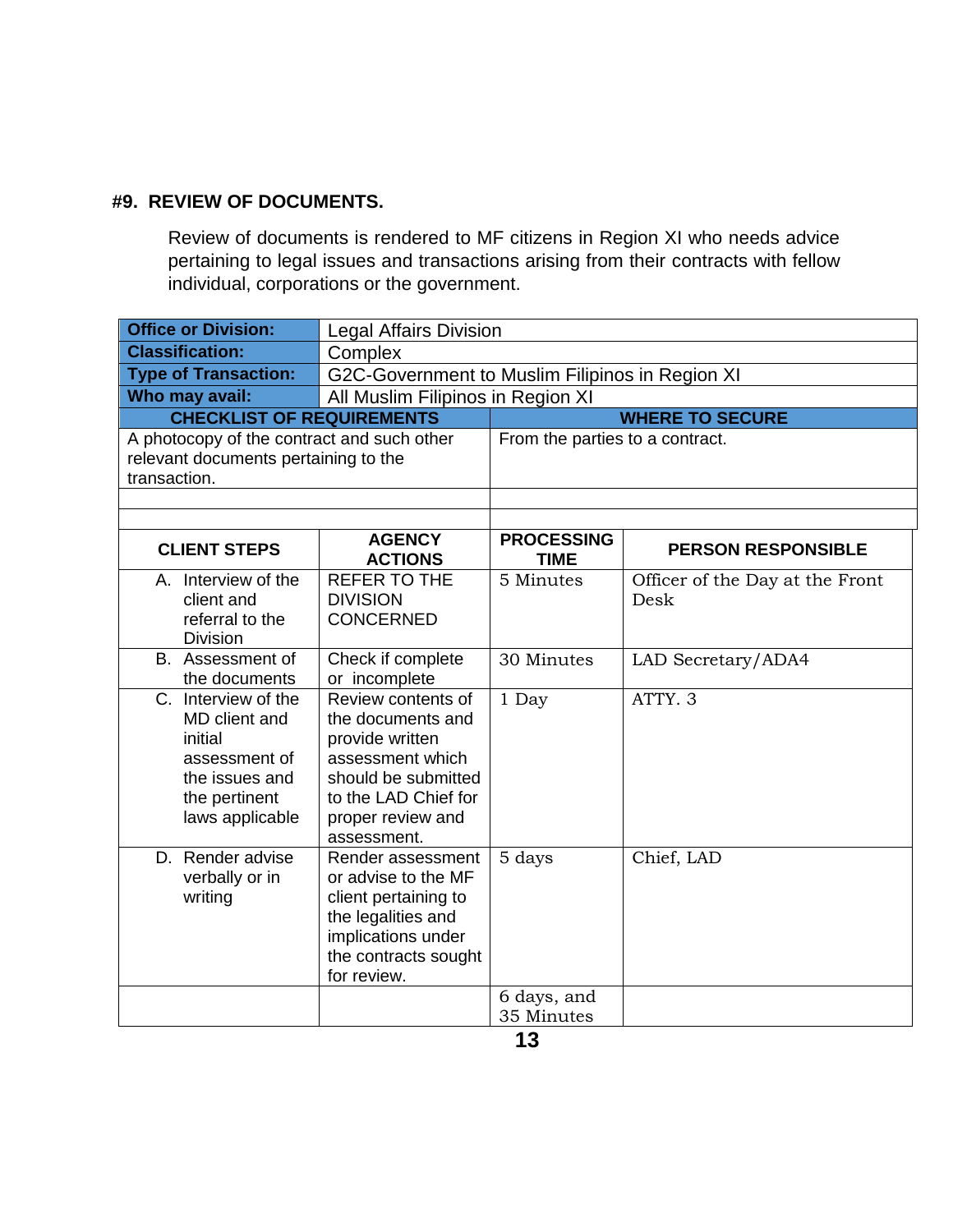#### **#9. REVIEW OF DOCUMENTS.**

Review of documents is rendered to MF citizens in Region XI who needs advice pertaining to legal issues and transactions arising from their contracts with fellow individual, corporations or the government.

| <b>Office or Division:</b>                                                                                             | <b>Legal Affairs Division</b>                                                                                                                                     |                                  |                                         |  |
|------------------------------------------------------------------------------------------------------------------------|-------------------------------------------------------------------------------------------------------------------------------------------------------------------|----------------------------------|-----------------------------------------|--|
| <b>Classification:</b>                                                                                                 | Complex                                                                                                                                                           |                                  |                                         |  |
| <b>Type of Transaction:</b>                                                                                            | G2C-Government to Muslim Filipinos in Region XI                                                                                                                   |                                  |                                         |  |
| Who may avail:                                                                                                         | All Muslim Filipinos in Region XI                                                                                                                                 |                                  |                                         |  |
| <b>CHECKLIST OF REQUIREMENTS</b>                                                                                       |                                                                                                                                                                   |                                  | <b>WHERE TO SECURE</b>                  |  |
| A photocopy of the contract and such other<br>relevant documents pertaining to the<br>transaction.                     |                                                                                                                                                                   | From the parties to a contract.  |                                         |  |
|                                                                                                                        |                                                                                                                                                                   |                                  |                                         |  |
| <b>CLIENT STEPS</b>                                                                                                    | <b>AGENCY</b><br><b>ACTIONS</b>                                                                                                                                   | <b>PROCESSING</b><br><b>TIME</b> | <b>PERSON RESPONSIBLE</b>               |  |
| A. Interview of the<br>client and<br>referral to the<br><b>Division</b>                                                | <b>REFER TO THE</b><br><b>DIVISION</b><br><b>CONCERNED</b>                                                                                                        | 5 Minutes                        | Officer of the Day at the Front<br>Desk |  |
| B. Assessment of<br>the documents                                                                                      | Check if complete<br>or incomplete                                                                                                                                | 30 Minutes                       | LAD Secretary/ADA4                      |  |
| C. Interview of the<br>MD client and<br>initial<br>assessment of<br>the issues and<br>the pertinent<br>laws applicable | Review contents of<br>the documents and<br>provide written<br>assessment which<br>should be submitted<br>to the LAD Chief for<br>proper review and<br>assessment. | 1 Day                            | ATTY. 3                                 |  |
| D. Render advise<br>verbally or in<br>writing                                                                          | Render assessment<br>or advise to the MF<br>client pertaining to<br>the legalities and<br>implications under<br>the contracts sought<br>for review.               | 5 days                           | Chief, LAD                              |  |
|                                                                                                                        |                                                                                                                                                                   | 6 days, and<br>35 Minutes        |                                         |  |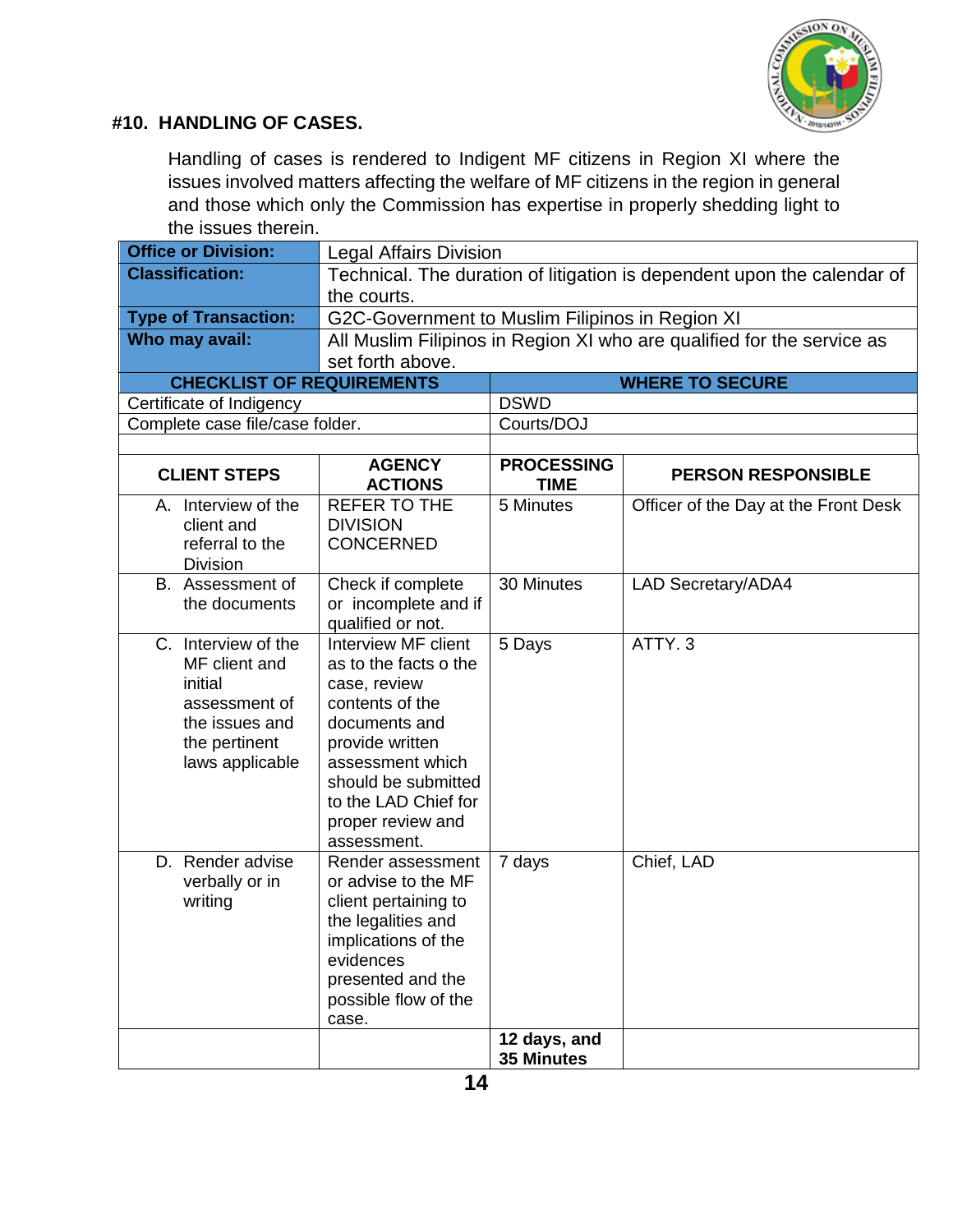

#### **#10. HANDLING OF CASES.**

Handling of cases is rendered to Indigent MF citizens in Region XI where the issues involved matters affecting the welfare of MF citizens in the region in general and those which only the Commission has expertise in properly shedding light to the issues therein.

| <b>Office or Division:</b>                                                                                             | <b>Legal Affairs Division</b>                                                                                                                                                                                              |                                  |                                      |
|------------------------------------------------------------------------------------------------------------------------|----------------------------------------------------------------------------------------------------------------------------------------------------------------------------------------------------------------------------|----------------------------------|--------------------------------------|
| <b>Classification:</b>                                                                                                 | Technical. The duration of litigation is dependent upon the calendar of<br>the courts.                                                                                                                                     |                                  |                                      |
| <b>Type of Transaction:</b>                                                                                            | G2C-Government to Muslim Filipinos in Region XI                                                                                                                                                                            |                                  |                                      |
| Who may avail:                                                                                                         | All Muslim Filipinos in Region XI who are qualified for the service as                                                                                                                                                     |                                  |                                      |
|                                                                                                                        | set forth above.                                                                                                                                                                                                           |                                  |                                      |
| <b>CHECKLIST OF REQUIREMENTS</b>                                                                                       |                                                                                                                                                                                                                            |                                  | <b>WHERE TO SECURE</b>               |
| Certificate of Indigency                                                                                               |                                                                                                                                                                                                                            | <b>DSWD</b>                      |                                      |
| Complete case file/case folder.                                                                                        |                                                                                                                                                                                                                            | Courts/DOJ                       |                                      |
| <b>CLIENT STEPS</b>                                                                                                    | <b>AGENCY</b><br><b>ACTIONS</b>                                                                                                                                                                                            | <b>PROCESSING</b><br><b>TIME</b> | <b>PERSON RESPONSIBLE</b>            |
| A. Interview of the<br>client and<br>referral to the<br><b>Division</b>                                                | <b>REFER TO THE</b><br><b>DIVISION</b><br><b>CONCERNED</b>                                                                                                                                                                 | 5 Minutes                        | Officer of the Day at the Front Desk |
| B. Assessment of<br>the documents                                                                                      | Check if complete<br>or incomplete and if<br>qualified or not.                                                                                                                                                             | 30 Minutes                       | <b>LAD Secretary/ADA4</b>            |
| C. Interview of the<br>MF client and<br>initial<br>assessment of<br>the issues and<br>the pertinent<br>laws applicable | Interview MF client<br>as to the facts o the<br>case, review<br>contents of the<br>documents and<br>provide written<br>assessment which<br>should be submitted<br>to the LAD Chief for<br>proper review and<br>assessment. | 5 Days                           | ATTY. <sub>3</sub>                   |
| D. Render advise<br>verbally or in<br>writing                                                                          | Render assessment<br>or advise to the MF<br>client pertaining to<br>the legalities and<br>implications of the<br>evidences<br>presented and the<br>possible flow of the<br>case.                                           | 7 days<br>12 days, and           | Chief, LAD                           |
|                                                                                                                        |                                                                                                                                                                                                                            | 35 Minutes                       |                                      |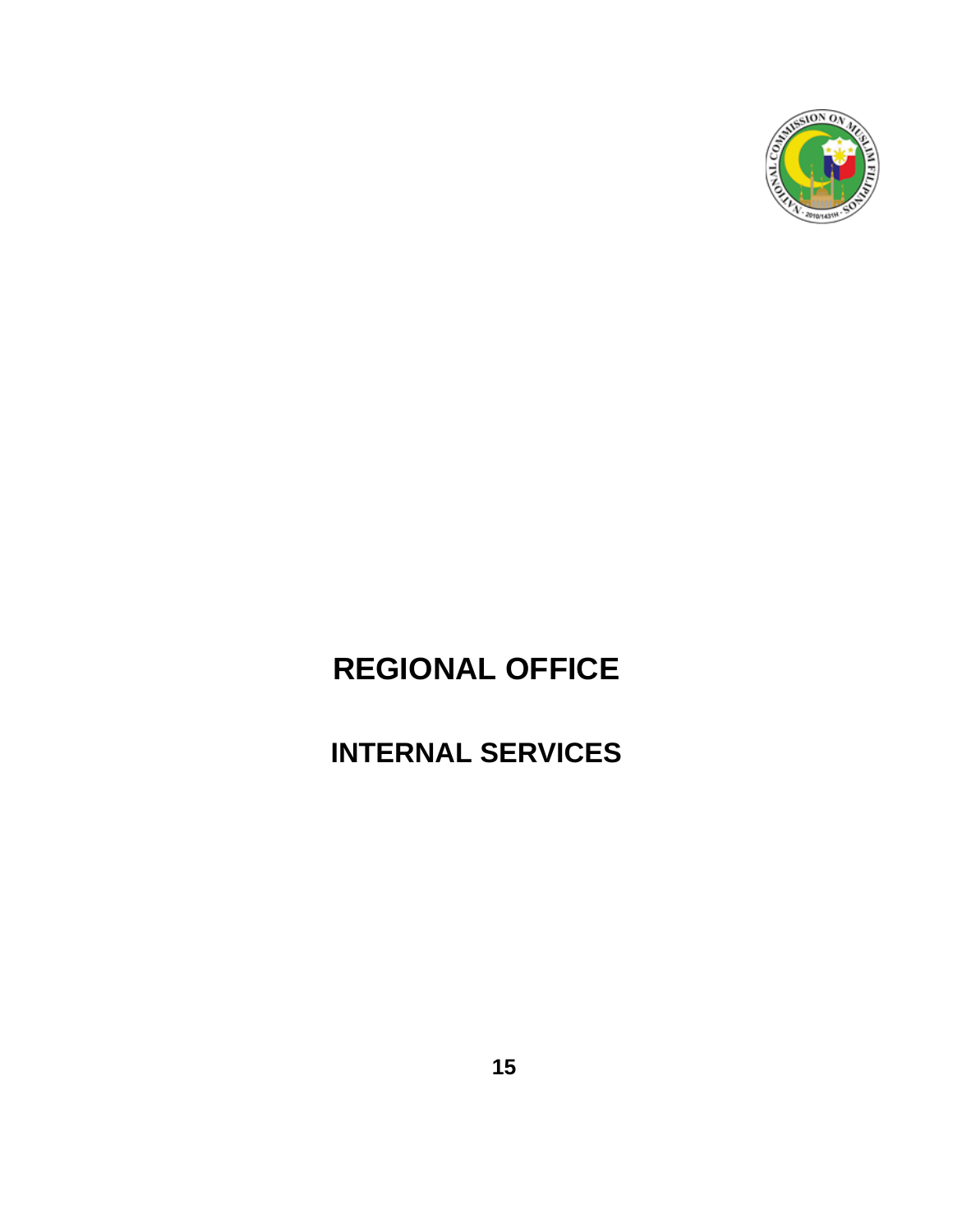

# **REGIONAL OFFICE**

# **INTERNAL SERVICES**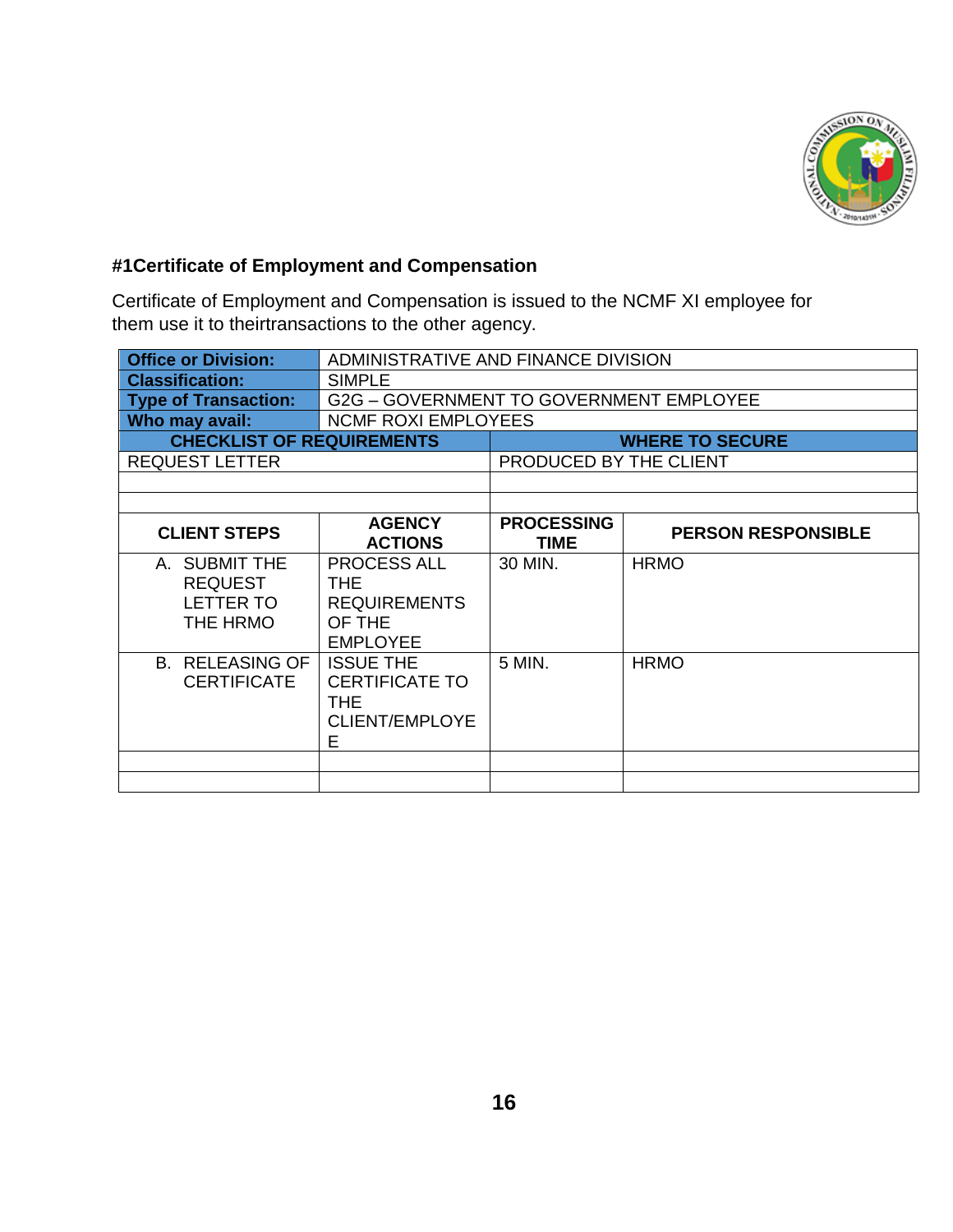

#### **#1Certificate of Employment and Compensation**

Certificate of Employment and Compensation is issued to the NCMF XI employee for them use it to theirtransactions to the other agency.

| <b>Office or Division:</b>                                      | ADMINISTRATIVE AND FINANCE DIVISION                                                   |                                  |                           |
|-----------------------------------------------------------------|---------------------------------------------------------------------------------------|----------------------------------|---------------------------|
| <b>Classification:</b>                                          | <b>SIMPLE</b>                                                                         |                                  |                           |
| <b>Type of Transaction:</b>                                     | G2G - GOVERNMENT TO GOVERNMENT EMPLOYEE                                               |                                  |                           |
| Who may avail:                                                  | <b>NCMF ROXI EMPLOYEES</b>                                                            |                                  |                           |
| <b>CHECKLIST OF REQUIREMENTS</b>                                |                                                                                       | <b>WHERE TO SECURE</b>           |                           |
| <b>REQUEST LETTER</b>                                           |                                                                                       | PRODUCED BY THE CLIENT           |                           |
|                                                                 |                                                                                       |                                  |                           |
|                                                                 |                                                                                       |                                  |                           |
| <b>CLIENT STEPS</b>                                             | <b>AGENCY</b><br><b>ACTIONS</b>                                                       | <b>PROCESSING</b><br><b>TIME</b> | <b>PERSON RESPONSIBLE</b> |
| A. SUBMIT THE<br><b>REQUEST</b><br><b>LETTER TO</b><br>THE HRMO | PROCESS ALL<br>THE.<br><b>REQUIREMENTS</b><br>OF THE<br><b>EMPLOYEE</b>               | 30 MIN.                          | <b>HRMO</b>               |
| <b>B. RELEASING OF</b><br><b>CERTIFICATE</b>                    | <b>ISSUE THE</b><br><b>CERTIFICATE TO</b><br><b>THE</b><br><b>CLIENT/EMPLOYE</b><br>E | 5 MIN.                           | <b>HRMO</b>               |
|                                                                 |                                                                                       |                                  |                           |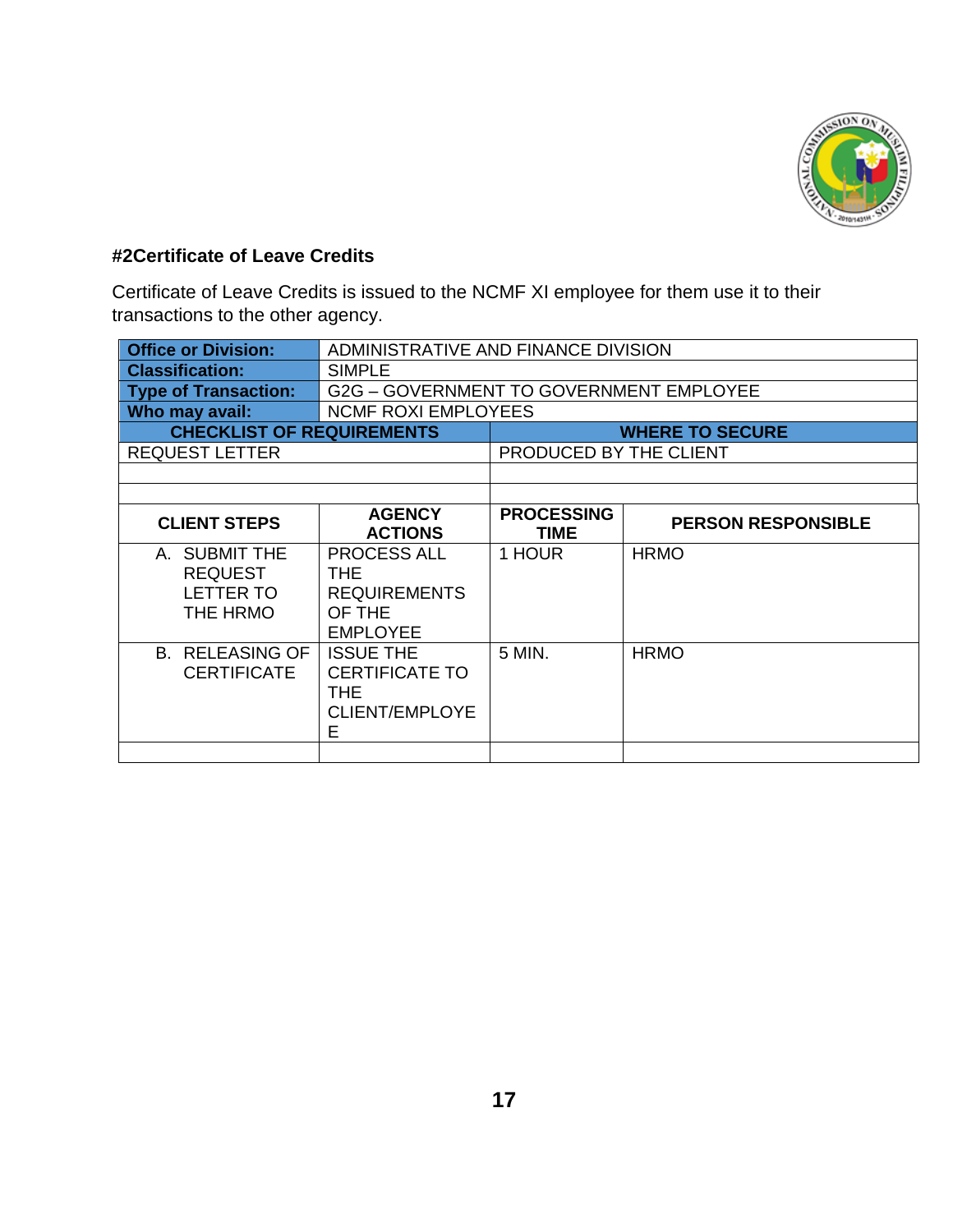

#### **#2Certificate of Leave Credits**

Certificate of Leave Credits is issued to the NCMF XI employee for them use it to their transactions to the other agency.

| <b>Office or Division:</b>                                      | ADMINISTRATIVE AND FINANCE DIVISION                                                   |                           |                           |  |
|-----------------------------------------------------------------|---------------------------------------------------------------------------------------|---------------------------|---------------------------|--|
| <b>Classification:</b>                                          | <b>SIMPLE</b>                                                                         |                           |                           |  |
| <b>Type of Transaction:</b>                                     | G2G - GOVERNMENT TO GOVERNMENT EMPLOYEE                                               |                           |                           |  |
| Who may avail:                                                  | <b>NCMF ROXI EMPLOYEES</b>                                                            |                           |                           |  |
| <b>CHECKLIST OF REQUIREMENTS</b>                                |                                                                                       | <b>WHERE TO SECURE</b>    |                           |  |
| <b>REQUEST LETTER</b>                                           |                                                                                       | PRODUCED BY THE CLIENT    |                           |  |
|                                                                 |                                                                                       |                           |                           |  |
|                                                                 |                                                                                       |                           |                           |  |
| <b>CLIENT STEPS</b>                                             | <b>AGENCY</b><br><b>ACTIONS</b>                                                       | <b>PROCESSING</b><br>TIME | <b>PERSON RESPONSIBLE</b> |  |
| A. SUBMIT THE<br><b>REQUEST</b><br><b>LETTER TO</b><br>THE HRMO | <b>PROCESS ALL</b><br>THE.<br><b>REQUIREMENTS</b><br>OF THE<br><b>EMPLOYEE</b>        | 1 HOUR                    | <b>HRMO</b>               |  |
| <b>B. RELEASING OF</b><br><b>CERTIFICATE</b>                    | <b>ISSUE THE</b><br><b>CERTIFICATE TO</b><br><b>THE</b><br><b>CLIENT/EMPLOYE</b><br>Е | 5 MIN.                    | <b>HRMO</b>               |  |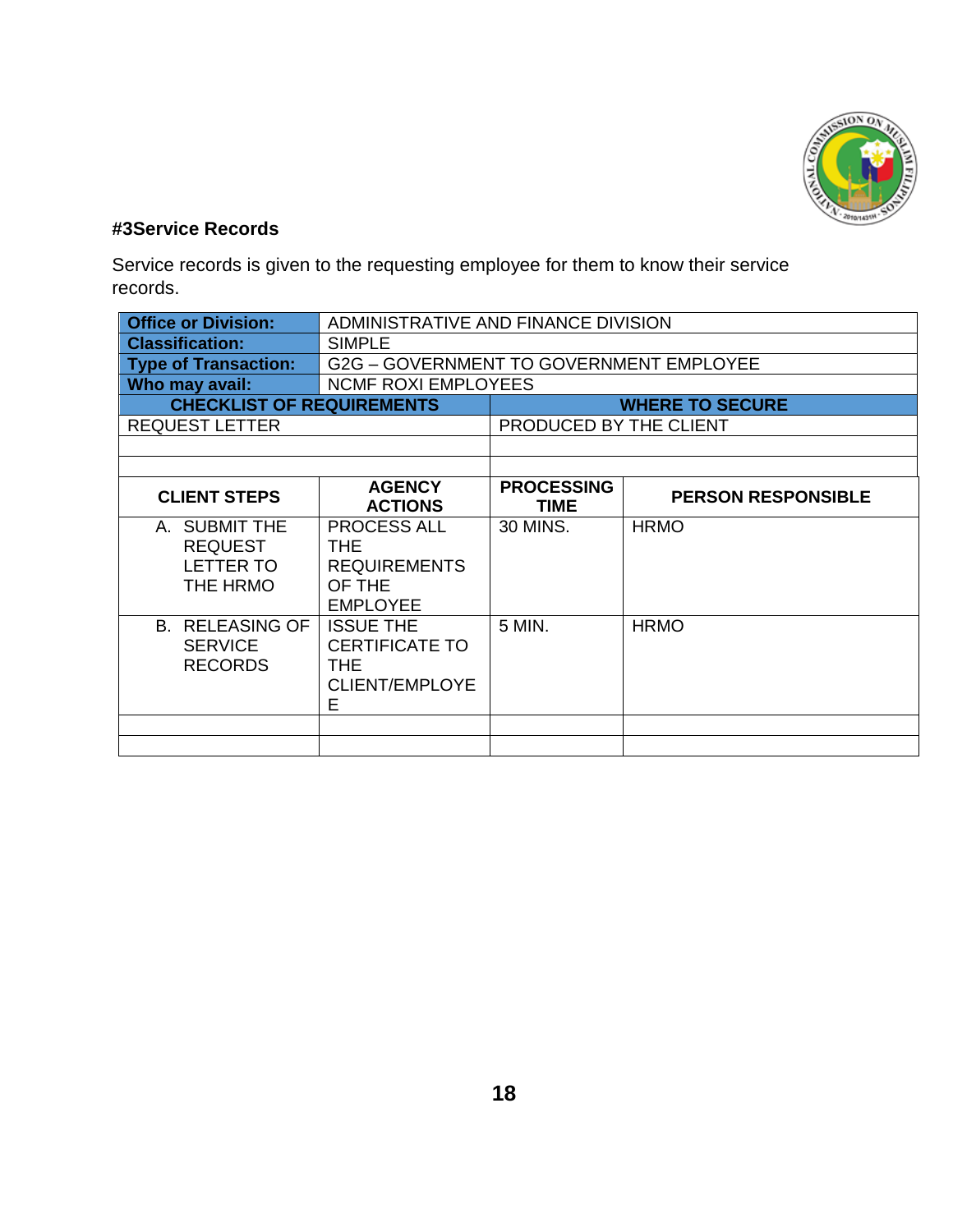

#### **#3Service Records**

Service records is given to the requesting employee for them to know their service records.

| ADMINISTRATIVE AND FINANCE DIVISION                                                   |                                  |                           |  |
|---------------------------------------------------------------------------------------|----------------------------------|---------------------------|--|
| <b>SIMPLE</b>                                                                         |                                  |                           |  |
| G2G - GOVERNMENT TO GOVERNMENT EMPLOYEE                                               |                                  |                           |  |
| <b>NCMF ROXI EMPLOYEES</b>                                                            |                                  |                           |  |
| <b>CHECKLIST OF REQUIREMENTS</b>                                                      |                                  | <b>WHERE TO SECURE</b>    |  |
| <b>REQUEST LETTER</b>                                                                 |                                  | PRODUCED BY THE CLIENT    |  |
|                                                                                       |                                  |                           |  |
|                                                                                       |                                  |                           |  |
| <b>AGENCY</b><br><b>ACTIONS</b>                                                       | <b>PROCESSING</b><br><b>TIME</b> | <b>PERSON RESPONSIBLE</b> |  |
| <b>PROCESS ALL</b><br>THE.<br><b>REQUIREMENTS</b><br>OF THE<br><b>EMPLOYEE</b>        | 30 MINS.                         | <b>HRMO</b>               |  |
| <b>ISSUE THE</b><br><b>CERTIFICATE TO</b><br><b>THE</b><br><b>CLIENT/EMPLOYE</b><br>E | 5 MIN.                           | <b>HRMO</b>               |  |
|                                                                                       |                                  |                           |  |